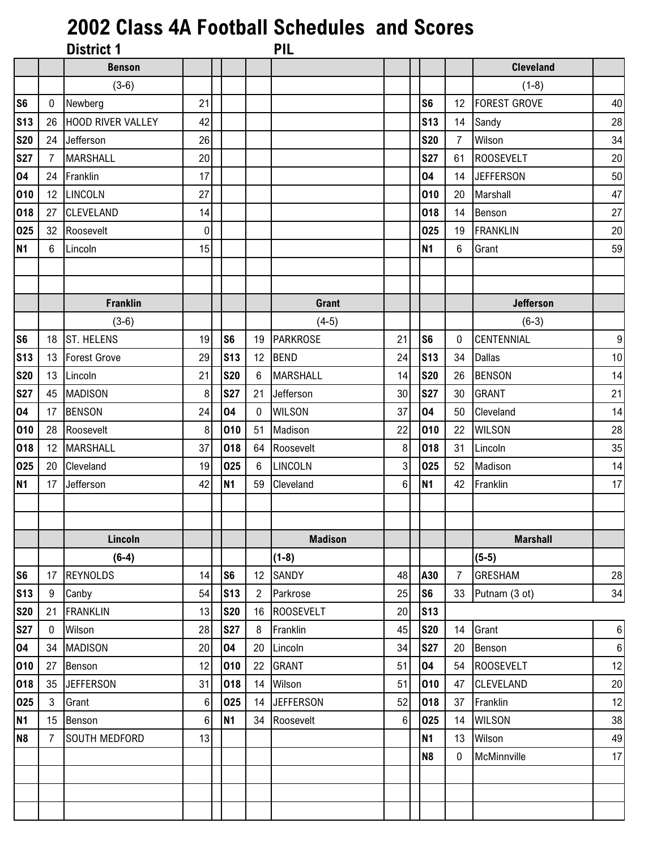## **2002 Class 4A Football Schedules and Scores**

|                 |    | <b>District 1</b>        |    |                |                | <b>PIL</b>       |                 |                |                |                     |                |
|-----------------|----|--------------------------|----|----------------|----------------|------------------|-----------------|----------------|----------------|---------------------|----------------|
|                 |    | <b>Benson</b>            |    |                |                |                  |                 |                |                | <b>Cleveland</b>    |                |
|                 |    | $(3-6)$                  |    |                |                |                  |                 |                |                | $(1-8)$             |                |
| S <sub>6</sub>  | 0  | Newberg                  | 21 |                |                |                  |                 | S <sub>6</sub> | 12             | <b>FOREST GROVE</b> | 40             |
| S <sub>13</sub> | 26 | <b>HOOD RIVER VALLEY</b> | 42 |                |                |                  |                 | <b>S13</b>     | 14             | Sandy               | 28             |
| <b>S20</b>      |    | 24 Jefferson             | 26 |                |                |                  |                 | <b>S20</b>     | $\overline{7}$ | Wilson              | 34             |
| <b>S27</b>      | 7  | <b>MARSHALL</b>          | 20 |                |                |                  |                 | <b>S27</b>     | 61             | <b>ROOSEVELT</b>    | $20\,$         |
| 04              | 24 | Franklin                 | 17 |                |                |                  |                 | 04             | 14             | <b>JEFFERSON</b>    | 50             |
| 010             |    | 12 LINCOLN               | 27 |                |                |                  |                 | 010            | 20             | Marshall            | 47             |
| 018             | 27 | <b>CLEVELAND</b>         | 14 |                |                |                  |                 | 018            | 14             | Benson              | 27             |
| 025             |    | 32 Roosevelt             | 0  |                |                |                  |                 | 025            | 19             | <b>FRANKLIN</b>     | 20             |
| <b>N1</b>       | 6  | Lincoln                  | 15 |                |                |                  |                 | <b>N1</b>      | 6              | Grant               | 59             |
|                 |    |                          |    |                |                |                  |                 |                |                |                     |                |
|                 |    |                          |    |                |                |                  |                 |                |                |                     |                |
|                 |    | <b>Franklin</b>          |    |                |                | Grant            |                 |                |                | <b>Jefferson</b>    |                |
|                 |    | $(3-6)$                  |    |                |                | $(4-5)$          |                 |                |                | $(6-3)$             |                |
| S <sub>6</sub>  |    | 18 ST. HELENS            | 19 | S <sub>6</sub> | 19             | <b>PARKROSE</b>  | 21              | S <sub>6</sub> | $\mathbf{0}$   | <b>CENTENNIAL</b>   | 9              |
| <b>S13</b>      | 13 | <b>Forest Grove</b>      | 29 | <b>S13</b>     | 12             | <b>BEND</b>      | 24              | <b>S13</b>     | 34             | <b>Dallas</b>       | $10$           |
| <b>S20</b>      | 13 | Lincoln                  | 21 | <b>S20</b>     | 6              | <b>MARSHALL</b>  | 14              | <b>S20</b>     | 26             | <b>BENSON</b>       | 14             |
| <b>S27</b>      | 45 | <b>MADISON</b>           | 8  | <b>S27</b>     | 21             | Jefferson        | 30 <sup>1</sup> | <b>S27</b>     | 30             | <b>GRANT</b>        | 21             |
| 04              | 17 | <b>BENSON</b>            | 24 | 04             | $\mathbf{0}$   | <b>WILSON</b>    | 37              | 04             | 50             | Cleveland           | 14             |
| 010             | 28 | Roosevelt                | 8  | 010            | 51             | Madison          | 22              | 010            | 22             | <b>WILSON</b>       | 28             |
| 018             |    | 12 MARSHALL              | 37 | 018            | 64             | Roosevelt        | 8 <sup>1</sup>  | 018            | 31             | Lincoln             | 35             |
| 025             | 20 | Cleveland                | 19 | 025            | 6              | LINCOLN          | 3 <sup>1</sup>  | 025            | 52             | Madison             | 14             |
| <b>N1</b>       | 17 | Jefferson                | 42 | <b>N1</b>      | 59             | Cleveland        | 6               | <b>N1</b>      | 42             | Franklin            | 17             |
|                 |    |                          |    |                |                |                  |                 |                |                |                     |                |
|                 |    |                          |    |                |                |                  |                 |                |                |                     |                |
|                 |    | Lincoln                  |    |                |                | <b>Madison</b>   |                 |                |                | <b>Marshall</b>     |                |
|                 |    | $(6-4)$                  |    |                |                | $(1-8)$          |                 |                |                | $(5-5)$             |                |
| S <sub>6</sub>  | 17 | <b>REYNOLDS</b>          | 14 | S <sub>6</sub> | 12             | SANDY            | 48              | A30            | $\overline{7}$ | <b>GRESHAM</b>      | 28             |
| <b>S13</b>      | 9  | Canby                    | 54 | <b>S13</b>     | $\overline{2}$ | Parkrose         | 25              | S <sub>6</sub> | 33             | Putnam (3 ot)       | 34             |
| <b>S20</b>      | 21 | <b>FRANKLIN</b>          | 13 | <b>S20</b>     | 16             | <b>ROOSEVELT</b> | 20              | <b>S13</b>     |                |                     |                |
| <b>S27</b>      | 0  | Wilson                   | 28 | <b>S27</b>     | 8              | Franklin         | 45              | <b>S20</b>     | 14             | Grant               | 6 <sup>1</sup> |
| 04              | 34 | <b>MADISON</b>           | 20 | 04             | 20             | Lincoln          | 34              | <b>S27</b>     | 20             | Benson              | 6              |
| 010             | 27 | Benson                   | 12 | 010            | 22             | <b>GRANT</b>     | 51              | 04             | 54             | <b>ROOSEVELT</b>    | 12             |
| 018             | 35 | <b>JEFFERSON</b>         | 31 | 018            | 14             | Wilson           | 51              | 010            | 47             | <b>CLEVELAND</b>    | 20             |
| 025             | 3  | Grant                    | 6  | 025            | 14             | <b>JEFFERSON</b> | 52              | 018            | 37             | Franklin            | 12             |
| <b>N1</b>       | 15 | Benson                   | 6  | <b>N1</b>      | 34             | Roosevelt        | 6               | 025            | 14             | <b>WILSON</b>       | 38             |
| N <sub>8</sub>  | 7  | <b>SOUTH MEDFORD</b>     | 13 |                |                |                  |                 | <b>N1</b>      | 13             | Wilson              | 49             |
|                 |    |                          |    |                |                |                  |                 | N <sub>8</sub> | 0              | McMinnville         | 17             |
|                 |    |                          |    |                |                |                  |                 |                |                |                     |                |
|                 |    |                          |    |                |                |                  |                 |                |                |                     |                |
|                 |    |                          |    |                |                |                  |                 |                |                |                     |                |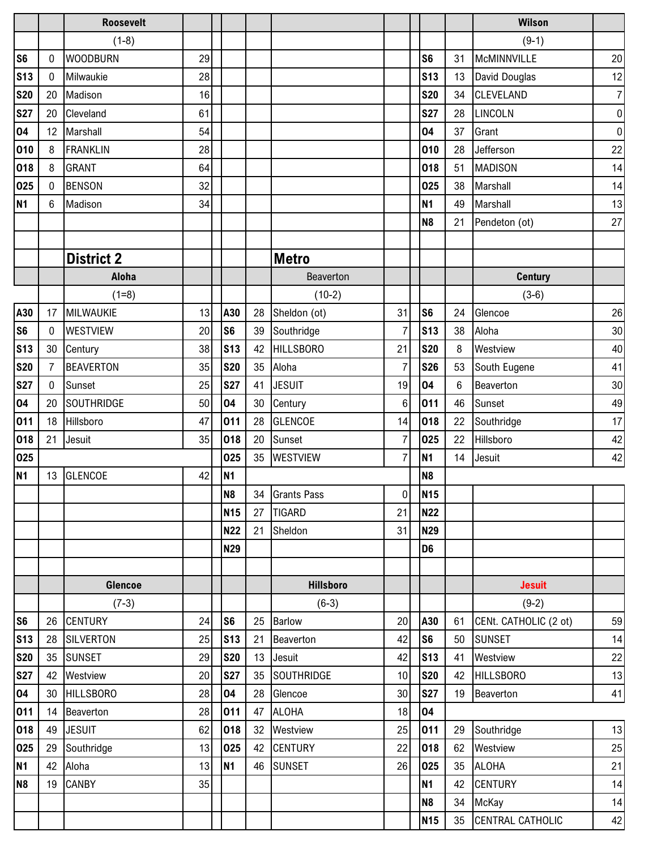|                          |              | <b>Roosevelt</b>            |          |                              |          |                     |                |                       |                 | <b>Wilson</b>                          |                  |
|--------------------------|--------------|-----------------------------|----------|------------------------------|----------|---------------------|----------------|-----------------------|-----------------|----------------------------------------|------------------|
|                          |              | $(1-8)$                     |          |                              |          |                     |                |                       |                 | $(9-1)$                                |                  |
| S <sub>6</sub>           | 0            | <b>WOODBURN</b>             | 29       |                              |          |                     |                | S <sub>6</sub>        | 31              | McMINNVILLE                            | 20               |
| <b>S13</b>               | 0            | Milwaukie                   | 28       |                              |          |                     |                | <b>S13</b>            | 13              | David Douglas                          | 12               |
| <b>S20</b>               | 20           | Madison                     | 16       |                              |          |                     |                | <b>S20</b>            | 34              | <b>CLEVELAND</b>                       | $\overline{7}$   |
| <b>S27</b>               | 20           | Cleveland                   | 61       |                              |          |                     |                | <b>S27</b>            | 28              | LINCOLN                                | $\boldsymbol{0}$ |
| 04                       | 12           | Marshall                    | 54       |                              |          |                     |                | 04                    | 37              | Grant                                  | $\boldsymbol{0}$ |
| 010                      | 8            | <b>FRANKLIN</b>             | 28       |                              |          |                     |                | 010                   | 28              | Jefferson                              | 22               |
| 018                      | 8            | <b>GRANT</b>                | 64       |                              |          |                     |                | 018                   | 51              | <b>MADISON</b>                         | 14               |
| 025                      | $\mathbf{0}$ | <b>BENSON</b>               | 32       |                              |          |                     |                | 025                   | 38              | Marshall                               | 14               |
| <b>N1</b>                | 6            | Madison                     | 34       |                              |          |                     |                | <b>N1</b>             | 49              | Marshall                               | 13               |
|                          |              |                             |          |                              |          |                     |                | N <sub>8</sub>        | 21              | Pendeton (ot)                          | 27               |
|                          |              |                             |          |                              |          |                     |                |                       |                 |                                        |                  |
|                          |              | <b>District 2</b>           |          |                              |          | Metro               |                |                       |                 |                                        |                  |
|                          |              | <b>Aloha</b>                |          |                              |          | Beaverton           |                |                       |                 | <b>Century</b>                         |                  |
|                          |              | $(1=8)$                     |          |                              |          | $(10-2)$            |                |                       |                 | $(3-6)$                                |                  |
| A30                      | 17           | MILWAUKIE                   | 13       | A30                          | 28       | Sheldon (ot)        | 31             | S <sub>6</sub>        | 24              | Glencoe                                | 26               |
| S <sub>6</sub>           | 0            | <b>WESTVIEW</b>             | 20       | S <sub>6</sub>               | 39       | Southridge          | $\overline{7}$ | <b>S13</b>            | 38              | Aloha                                  | 30               |
| <b>S13</b>               | 30           | Century                     | 38       | <b>S13</b>                   | 42       | <b>HILLSBORO</b>    | 21             | <b>S20</b>            | 8               | Westview                               | 40               |
| <b>S20</b>               | 7            | <b>BEAVERTON</b>            | 35       | <b>S20</b>                   | 35       | Aloha               | 7              | <b>S26</b>            | 53              | South Eugene                           | 41               |
| <b>S27</b>               | $\mathbf 0$  | Sunset                      | 25       | <b>S27</b>                   | 41       | <b>JESUIT</b>       | 19             | 04                    | $6\phantom{.}6$ | Beaverton                              | $30\,$           |
| 04                       | 20           | <b>SOUTHRIDGE</b>           | 50       | 04                           | 30       | Century             | 6              | 011                   | 46              | Sunset                                 | 49               |
| 011                      | 18           | Hillsboro                   | 47       | 011                          | 28       | <b>GLENCOE</b>      | 14             | 018                   | 22              | Southridge                             | 17               |
| 018                      | 21           | Jesuit                      | 35       | 018                          | 20       | Sunset              | $\overline{7}$ | 025                   | 22              | Hillsboro                              | 42               |
| 025                      |              |                             |          | 025                          | 35       | <b>WESTVIEW</b>     | $\overline{7}$ | N <sub>1</sub>        | 14              | Jesuit                                 | 42               |
| <b>N1</b>                | 13           | <b>GLENCOE</b>              | 42       | <b>N1</b>                    |          |                     |                | <b>N8</b>             |                 |                                        |                  |
|                          |              |                             |          | N <sub>8</sub>               |          | 34 Grants Pass      | $\overline{0}$ | <b>N15</b>            |                 |                                        |                  |
|                          |              |                             |          | <b>N15</b>                   | 27       | <b>TIGARD</b>       | 21             | <b>N22</b>            |                 |                                        |                  |
|                          |              |                             |          | <b>N22</b>                   | 21       | Sheldon             | 31             | <b>N29</b>            |                 |                                        |                  |
|                          |              |                             |          | <b>N29</b>                   |          |                     |                | D <sub>6</sub>        |                 |                                        |                  |
|                          |              |                             |          |                              |          |                     |                |                       |                 |                                        |                  |
|                          |              | Glencoe                     |          |                              |          | <b>Hillsboro</b>    |                |                       |                 | <b>Jesuit</b>                          |                  |
|                          |              | $(7-3)$                     |          |                              |          | $(6-3)$             |                |                       |                 | $(9-2)$                                |                  |
| S <sub>6</sub>           | 26           | <b>CENTURY</b><br>SILVERTON | 24<br>25 | S <sub>6</sub><br><b>S13</b> | 25       | <b>Barlow</b>       | 20<br>42       | A30<br>S <sub>6</sub> | 61<br>50        | CENt. CATHOLIC (2 ot)<br><b>SUNSET</b> | 59<br>14         |
| <b>S13</b><br><b>S20</b> | 28<br>35     | <b>SUNSET</b>               | 29       | <b>S20</b>                   | 21<br>13 | Beaverton<br>Jesuit | 42             | <b>S13</b>            | 41              | Westview                               | 22               |
| <b>S27</b>               | 42           | Westview                    | 20       | <b>S27</b>                   | 35       | SOUTHRIDGE          | 10             | <b>S20</b>            | 42              | <b>HILLSBORO</b>                       | $13$             |
| 04                       | 30           | <b>HILLSBORO</b>            | 28       | 04                           | 28       | Glencoe             | 30             | <b>S27</b>            | 19              | Beaverton                              | 41               |
| 011                      | 14           | Beaverton                   | 28       | 011                          | 47       | <b>ALOHA</b>        | 18             | 04                    |                 |                                        |                  |
| 018                      | 49           | <b>JESUIT</b>               | 62       | 018                          | 32       | Westview            | 25             | 011                   | 29              | Southridge                             | 13               |
| 025                      | 29           | Southridge                  | 13       | 025                          | 42       | <b>CENTURY</b>      | 22             | 018                   | 62              | Westview                               | $25\,$           |
| <b>N1</b>                | 42           | Aloha                       | 13       | N <sub>1</sub>               | 46       | <b>SUNSET</b>       | 26             | 025                   | 35              | <b>ALOHA</b>                           | 21               |
| N <sub>8</sub>           | 19           | <b>CANBY</b>                | 35       |                              |          |                     |                | <b>N1</b>             | 42              | <b>CENTURY</b>                         | 14               |
|                          |              |                             |          |                              |          |                     |                | <b>N8</b>             | 34              | McKay                                  | 14               |
|                          |              |                             |          |                              |          |                     |                | <b>N15</b>            | 35              | CENTRAL CATHOLIC                       | 42               |
|                          |              |                             |          |                              |          |                     |                |                       |                 |                                        |                  |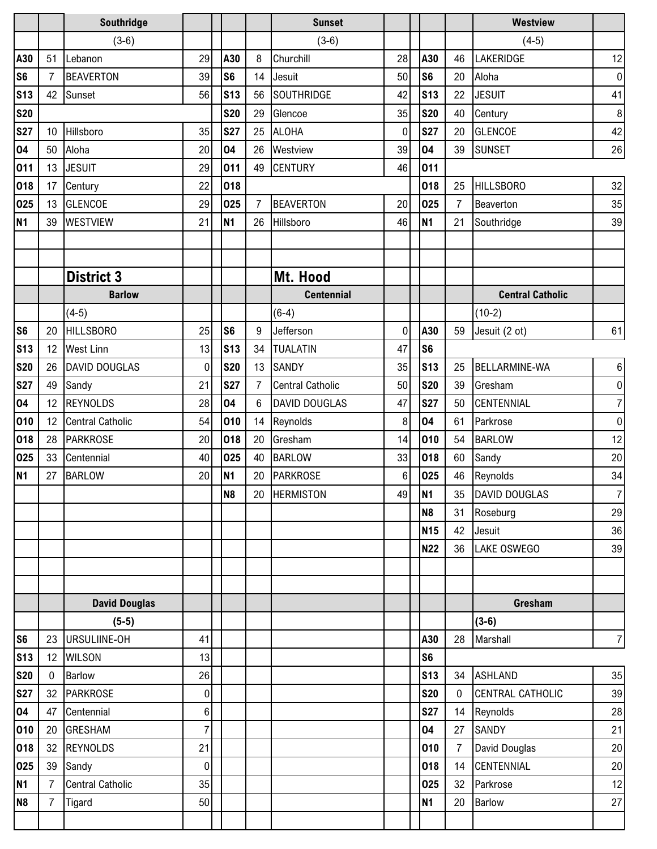|                |                  | Southridge              |                |                |                | <b>Sunset</b>           |                |                |                | <b>Westview</b>         |                |
|----------------|------------------|-------------------------|----------------|----------------|----------------|-------------------------|----------------|----------------|----------------|-------------------------|----------------|
|                |                  | $(3-6)$                 |                |                |                | $(3-6)$                 |                |                |                | $(4-5)$                 |                |
| A30            | 51               | Lebanon                 | 29             | A30            | 8              | Churchill               | 28             | A30            | 46             | LAKERIDGE               | 12             |
| S <sub>6</sub> | 7                | <b>BEAVERTON</b>        | 39             | S <sub>6</sub> | 14             | Jesuit                  | 50             | S <sub>6</sub> | 20             | Aloha                   | 0              |
| <b>S13</b>     | 42               | Sunset                  | 56             | <b>S13</b>     | 56             | <b>SOUTHRIDGE</b>       | 42             | <b>S13</b>     | 22             | <b>JESUIT</b>           | 41             |
| <b>S20</b>     |                  |                         |                | <b>S20</b>     | 29             | Glencoe                 | 35             | <b>S20</b>     | 40             | Century                 | 8              |
| <b>S27</b>     | 10 <sup>°</sup>  | Hillsboro               | 35             | <b>S27</b>     | 25             | <b>ALOHA</b>            | 0              | <b>S27</b>     | 20             | <b>GLENCOE</b>          | 42             |
| 04             | 50               | Aloha                   | 20             | 04             | 26             | Westview                | 39             | 04             | 39             | <b>SUNSET</b>           | 26             |
| 011            | 13               | <b>JESUIT</b>           | 29             | 011            | 49             | <b>CENTURY</b>          | 46             | 011            |                |                         |                |
| 018            | 17               | Century                 | 22             | 018            |                |                         |                | 018            | 25             | <b>HILLSBORO</b>        | 32             |
| 025            | 13               | <b>GLENCOE</b>          | 29             | 025            | $\overline{7}$ | <b>BEAVERTON</b>        | 20             | 025            | $\overline{7}$ | Beaverton               | 35             |
| <b>N1</b>      | 39               | <b>WESTVIEW</b>         | 21             | <b>N1</b>      | 26             | Hillsboro               | 46             | <b>N1</b>      | 21             | Southridge              | 39             |
|                |                  |                         |                |                |                |                         |                |                |                |                         |                |
|                |                  |                         |                |                |                |                         |                |                |                |                         |                |
|                |                  | <b>District 3</b>       |                |                |                | Mt. Hood                |                |                |                |                         |                |
|                |                  | <b>Barlow</b>           |                |                |                | <b>Centennial</b>       |                |                |                | <b>Central Catholic</b> |                |
|                |                  | $(4-5)$                 |                |                |                | $(6-4)$                 |                |                |                | $(10-2)$                |                |
| S <sub>6</sub> | 20               | <b>HILLSBORO</b>        | 25             | S <sub>6</sub> | 9              | Jefferson               | 0              | A30            | 59             | Jesuit (2 ot)           | 61             |
| <b>S13</b>     | 12               | <b>West Linn</b>        | 13             | <b>S13</b>     | 34             | <b>TUALATIN</b>         | 47             | S <sub>6</sub> |                |                         |                |
| <b>S20</b>     | 26               | <b>DAVID DOUGLAS</b>    | 0              | <b>S20</b>     | 13             | <b>SANDY</b>            | 35             | <b>S13</b>     | 25             | <b>BELLARMINE-WA</b>    | $6 \mid$       |
| <b>S27</b>     | 49               | Sandy                   | 21             | <b>S27</b>     | $\overline{7}$ | <b>Central Catholic</b> | 50             | <b>S20</b>     | 39             | Gresham                 | $\overline{0}$ |
| 04             | 12               | <b>REYNOLDS</b>         | 28             | 04             | $6\phantom{.}$ | <b>DAVID DOUGLAS</b>    | 47             | <b>S27</b>     | 50             | CENTENNIAL              | $\overline{7}$ |
| 010            | 12 <sup>°</sup>  | <b>Central Catholic</b> | 54             | 010            | 14             | Reynolds                | 8              | 04             | 61             | Parkrose                | 0              |
| 018            | 28               | PARKROSE                | 20             | 018            | 20             | Gresham                 | 14             | 010            | 54             | <b>BARLOW</b>           | 12             |
| 025            | 33               | Centennial              | 40             | 025            | 40             | <b>BARLOW</b>           | 33             | 018            | 60             | Sandy                   | 20             |
| <b>N1</b>      | 27               | <b>BARLOW</b>           | 20             | <b>N1</b>      | 20             | <b>PARKROSE</b>         | 6 <sup>1</sup> | 025            | 46             | Reynolds                | 34             |
|                |                  |                         |                | N <sub>8</sub> | 20             | <b>HERMISTON</b>        | 49             | <b>N1</b>      |                | 35 DAVID DOUGLAS        | 7              |
|                |                  |                         |                |                |                |                         |                | <b>N8</b>      | 31             | Roseburg                | 29             |
|                |                  |                         |                |                |                |                         |                | <b>N15</b>     | 42             | Jesuit                  | 36             |
|                |                  |                         |                |                |                |                         |                | <b>N22</b>     | 36             | <b>LAKE OSWEGO</b>      | 39             |
|                |                  |                         |                |                |                |                         |                |                |                |                         |                |
|                |                  |                         |                |                |                |                         |                |                |                |                         |                |
|                |                  | <b>David Douglas</b>    |                |                |                |                         |                |                |                | Gresham                 |                |
|                |                  | $(5-5)$                 |                |                |                |                         |                |                |                | $(3-6)$                 |                |
| S <sub>6</sub> |                  | 23 URSULIINE-OH         | 41             |                |                |                         |                | A30            | 28             | Marshall                | $7\vert$       |
| <b>S13</b>     | 12 <sup>12</sup> | <b>WILSON</b>           | 13             |                |                |                         |                | S <sub>6</sub> |                |                         |                |
| <b>S20</b>     | $\mathbf 0$      | <b>Barlow</b>           | 26             |                |                |                         |                | <b>S13</b>     | 34             | <b>ASHLAND</b>          | 35             |
| <b>S27</b>     |                  | 32 PARKROSE             | 0              |                |                |                         |                | <b>S20</b>     | $\mathbf 0$    | CENTRAL CATHOLIC        | 39             |
| 04             | 47               | Centennial              | 6              |                |                |                         |                | <b>S27</b>     | 14             | Reynolds                | 28             |
| 010            | 20               | <b>GRESHAM</b>          | $\overline{7}$ |                |                |                         |                | 04             | 27             | SANDY                   | 21             |
| 018            |                  | 32 REYNOLDS             | 21             |                |                |                         |                | 010            | $\overline{7}$ | David Douglas           | 20             |
| 025            | 39               | Sandy                   | 0              |                |                |                         |                | 018            | 14             | <b>CENTENNIAL</b>       | 20             |
| <b>N1</b>      | $\overline{7}$   | <b>Central Catholic</b> | 35             |                |                |                         |                | 025            | 32             | Parkrose                | 12             |
| N <sub>8</sub> | $\overline{7}$   | <b>Tigard</b>           | 50             |                |                |                         |                | <b>N1</b>      | 20             | <b>Barlow</b>           | 27             |
|                |                  |                         |                |                |                |                         |                |                |                |                         |                |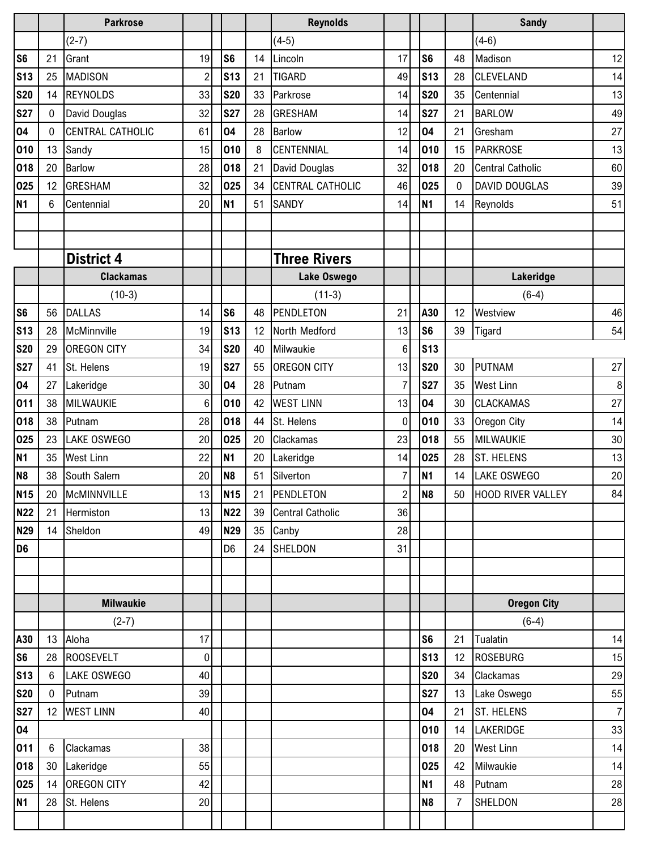|                 |              | <b>Parkrose</b>         |                |                 |    | <b>Reynolds</b>         |                |                |            |                | <b>Sandy</b>            |                |
|-----------------|--------------|-------------------------|----------------|-----------------|----|-------------------------|----------------|----------------|------------|----------------|-------------------------|----------------|
|                 |              | $(2-7)$                 |                |                 |    | $(4-5)$                 |                |                |            |                | $(4-6)$                 |                |
| S <sub>6</sub>  | 21           | Grant                   | 19             | S <sub>6</sub>  | 14 | Lincoln                 | 17             | S <sub>6</sub> |            | 48             | Madison                 | 12             |
| S <sub>13</sub> | 25           | <b>MADISON</b>          | $\overline{c}$ | <b>S13</b>      | 21 | <b>TIGARD</b>           | 49             |                | <b>S13</b> | 28             | CLEVELAND               | 14             |
| <b>S20</b>      | 14           | <b>REYNOLDS</b>         | 33             | <b>S20</b>      | 33 | Parkrose                | 14             |                | <b>S20</b> | 35             | Centennial              | 13             |
| <b>S27</b>      | $\mathbf{0}$ | David Douglas           | 32             | <b>S27</b>      | 28 | <b>GRESHAM</b>          | 14             | <b>S27</b>     |            | 21             | <b>BARLOW</b>           | 49             |
| 04              | $\mathbf{0}$ | <b>CENTRAL CATHOLIC</b> | 61             | 04              | 28 | <b>Barlow</b>           | 12             | 04             |            | 21             | Gresham                 | 27             |
| 010             | 13           | Sandy                   | 15             | 010             | 8  | <b>CENTENNIAL</b>       | 14             |                | 010        | 15             | <b>PARKROSE</b>         | 13             |
| 018             | 20           | Barlow                  | 28             | 018             | 21 | David Douglas           | 32             |                | 018        | 20             | <b>Central Catholic</b> | 60             |
| 025             | 12           | <b>GRESHAM</b>          | 32             | 025             | 34 | CENTRAL CATHOLIC        | 46             |                | 025        | 0              | <b>DAVID DOUGLAS</b>    | 39             |
| <b>N1</b>       | 6            | Centennial              | 20             | <b>N1</b>       | 51 | <b>SANDY</b>            | 14             | <b>N1</b>      |            | 14             | Reynolds                | 51             |
|                 |              |                         |                |                 |    |                         |                |                |            |                |                         |                |
|                 |              |                         |                |                 |    |                         |                |                |            |                |                         |                |
|                 |              | <b>District 4</b>       |                |                 |    | <b>Three Rivers</b>     |                |                |            |                |                         |                |
|                 |              | <b>Clackamas</b>        |                |                 |    | Lake Oswego             |                |                |            |                | Lakeridge               |                |
|                 |              | $(10-3)$                |                |                 |    | $(11-3)$                |                |                |            |                | $(6-4)$                 |                |
| S <sub>6</sub>  | 56           | <b>DALLAS</b>           | 14             | S <sub>6</sub>  | 48 | PENDLETON               | 21             |                | A30        | 12             | Westview                | 46             |
| S <sub>13</sub> | 28           | McMinnville             | 19             | S <sub>13</sub> | 12 | North Medford           | 13             | S <sub>6</sub> |            | 39             | Tigard                  | 54             |
| <b>S20</b>      | 29           | <b>OREGON CITY</b>      | 34             | <b>S20</b>      | 40 | Milwaukie               | 6              |                | <b>S13</b> |                |                         |                |
| <b>S27</b>      | 41           | St. Helens              | 19             | <b>S27</b>      | 55 | <b>OREGON CITY</b>      | 13             |                | <b>S20</b> | 30             | <b>PUTNAM</b>           | 27             |
| 04              | 27           | Lakeridge               | 30             | 04              | 28 | Putnam                  | $\overline{7}$ |                | <b>S27</b> | 35             | <b>West Linn</b>        | 8              |
| 011             | 38           | MILWAUKIE               | 6              | 010             | 42 | <b>WEST LINN</b>        | 13             | 04             |            | 30             | <b>CLACKAMAS</b>        | 27             |
| 018             | 38           | Putnam                  | 28             | 018             | 44 | St. Helens              | 0              |                | 010        | 33             | Oregon City             | 14             |
| 025             | 23           | <b>LAKE OSWEGO</b>      | 20             | 025             | 20 | Clackamas               | 23             |                | 018        | 55             | MILWAUKIE               | 30             |
| <b>N1</b>       | 35           | <b>West Linn</b>        | 22             | <b>N1</b>       | 20 | Lakeridge               | 14             |                | 025        | 28             | <b>ST. HELENS</b>       | 13             |
| N <sub>8</sub>  | 38           | South Salem             | 20             | N <sub>8</sub>  | 51 | Silverton               | 7              | <b>N1</b>      |            | 14             | <b>LAKE OSWEGO</b>      | 20             |
| <b>N15</b>      |              | 20 McMINNVILLE          | 13             | <b>N15</b>      | 21 | PENDLETON               | $2\vert$       | N <sub>8</sub> |            |                | 50 HOOD RIVER VALLEY    | 84             |
| <b>N22</b>      | 21           | Hermiston               | 13             | <b>N22</b>      | 39 | <b>Central Catholic</b> | 36             |                |            |                |                         |                |
| <b>N29</b>      |              | 14 Sheldon              | 49             | <b>N29</b>      | 35 | Canby                   | 28             |                |            |                |                         |                |
| D <sub>6</sub>  |              |                         |                | D <sub>6</sub>  | 24 | SHELDON                 | 31             |                |            |                |                         |                |
|                 |              |                         |                |                 |    |                         |                |                |            |                |                         |                |
|                 |              |                         |                |                 |    |                         |                |                |            |                |                         |                |
|                 |              | <b>Milwaukie</b>        |                |                 |    |                         |                |                |            |                | <b>Oregon City</b>      |                |
|                 |              | $(2-7)$                 |                |                 |    |                         |                |                |            |                | $(6-4)$                 |                |
| A30             |              | 13 Aloha                | 17             |                 |    |                         |                | S <sub>6</sub> |            | 21             | Tualatin                | 14             |
| S <sub>6</sub>  |              | 28 ROOSEVELT            | 0              |                 |    |                         |                |                | <b>S13</b> | 12             | <b>ROSEBURG</b>         | 15             |
| <b>S13</b>      | 6            | <b>LAKE OSWEGO</b>      | 40             |                 |    |                         |                |                | <b>S20</b> | 34             | Clackamas               | 29             |
| <b>S20</b>      | $\mathbf 0$  | Putnam                  | 39             |                 |    |                         |                |                | <b>S27</b> | 13             | Lake Oswego             | 55             |
| <b>S27</b>      |              | 12 WEST LINN            | 40             |                 |    |                         |                | 04             |            | 21             | ST. HELENS              | $\overline{7}$ |
| 04              |              |                         |                |                 |    |                         |                |                | 010        | 14             | LAKERIDGE               | 33             |
| 011             | 6            | Clackamas               | 38             |                 |    |                         |                |                | 018        | 20             | <b>West Linn</b>        | 14             |
| 018             |              | 30 Lakeridge            | 55             |                 |    |                         |                |                | 025        | 42             | Milwaukie               | 14             |
| 025             |              | 14 OREGON CITY          | 42             |                 |    |                         |                | <b>N1</b>      |            | 48             | Putnam                  | 28             |
| <b>N1</b>       |              | 28 St. Helens           | 20             |                 |    |                         |                | <b>N8</b>      |            | $\overline{7}$ | SHELDON                 | 28             |
|                 |              |                         |                |                 |    |                         |                |                |            |                |                         |                |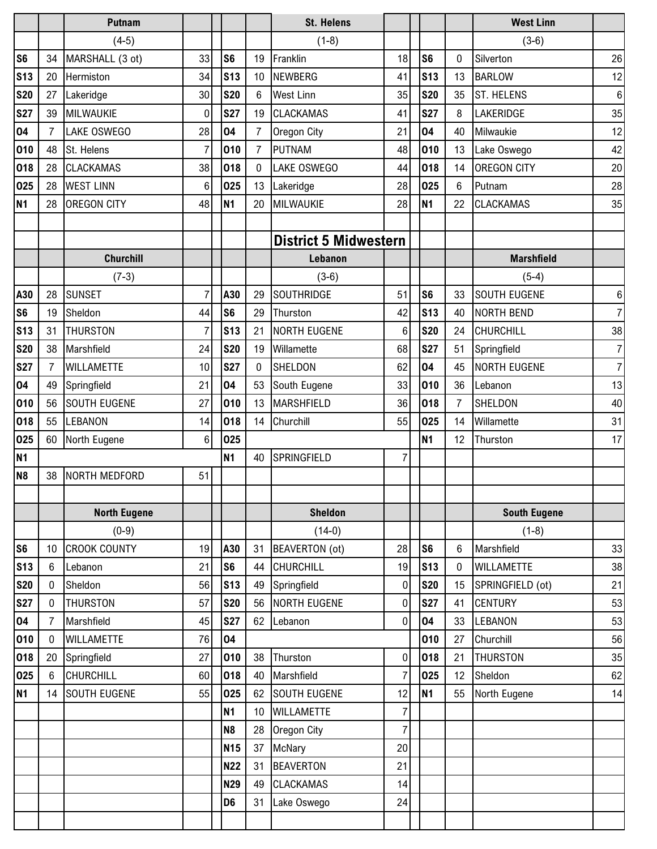|                 |                | Putnam              |                |                |                | <b>St. Helens</b>            |                |                |                | <b>West Linn</b>    |                  |
|-----------------|----------------|---------------------|----------------|----------------|----------------|------------------------------|----------------|----------------|----------------|---------------------|------------------|
|                 |                | $(4-5)$             |                |                |                | $(1-8)$                      |                |                |                | $(3-6)$             |                  |
| S <sub>6</sub>  | 34             | MARSHALL (3 ot)     | 33             | S <sub>6</sub> | 19             | Franklin                     | 18             | S <sub>6</sub> | $\mathbf{0}$   | Silverton           | 26               |
| <b>S13</b>      | 20             | Hermiston           | 34             | <b>S13</b>     | 10             | <b>NEWBERG</b>               | 41             | <b>S13</b>     | 13             | <b>BARLOW</b>       | 12               |
| <b>S20</b>      | 27             | Lakeridge           | 30             | <b>S20</b>     | 6              | <b>West Linn</b>             | 35             | <b>S20</b>     | 35             | <b>ST. HELENS</b>   | $\boldsymbol{6}$ |
| <b>S27</b>      | 39             | MILWAUKIE           | 0              | <b>S27</b>     | 19             | <b>CLACKAMAS</b>             | 41             | <b>S27</b>     | 8              | LAKERIDGE           | 35               |
| 04              | 7              | <b>LAKE OSWEGO</b>  | 28             | 04             | $\overline{7}$ | Oregon City                  | 21             | 04             | 40             | Milwaukie           | 12               |
| 010             | 48             | St. Helens          | $\overline{7}$ | 010            | $\overline{7}$ | <b>PUTNAM</b>                | 48             | 010            | 13             | Lake Oswego         | 42               |
| 018             | 28             | <b>CLACKAMAS</b>    | 38             | 018            | $\overline{0}$ | LAKE OSWEGO                  | 44             | 018            | 14             | <b>OREGON CITY</b>  | 20               |
| 025             | 28             | <b>WEST LINN</b>    | 6              | 025            | 13             | Lakeridge                    | 28             | 025            | 6              | Putnam              | 28               |
| <b>N1</b>       | 28             | <b>OREGON CITY</b>  | 48             | <b>N1</b>      | 20             | MILWAUKIE                    | 28             | <b>N1</b>      | 22             | <b>CLACKAMAS</b>    | 35               |
|                 |                |                     |                |                |                |                              |                |                |                |                     |                  |
|                 |                |                     |                |                |                | <b>District 5 Midwestern</b> |                |                |                |                     |                  |
|                 |                | <b>Churchill</b>    |                |                |                | Lebanon                      |                |                |                | <b>Marshfield</b>   |                  |
|                 |                | $(7-3)$             |                |                |                | $(3-6)$                      |                |                |                | $(5-4)$             |                  |
| A30             | 28             | <b>SUNSET</b>       | 7              | A30            | 29             | <b>SOUTHRIDGE</b>            | 51             | S <sub>6</sub> | 33             | <b>SOUTH EUGENE</b> | 6                |
| S <sub>6</sub>  | 19             | Sheldon             | 44             | S <sub>6</sub> | 29             | Thurston                     | 42             | <b>S13</b>     | 40             | NORTH BEND          | $\overline{7}$   |
| S <sub>13</sub> | 31             | <b>THURSTON</b>     | $\overline{7}$ | <b>S13</b>     | 21             | <b>NORTH EUGENE</b>          | 6              | <b>S20</b>     | 24             | <b>CHURCHILL</b>    | 38               |
| <b>S20</b>      | 38             | Marshfield          | 24             | <b>S20</b>     | 19             | Willamette                   | 68             | <b>S27</b>     | 51             | Springfield         | 7 <sup>1</sup>   |
| <b>S27</b>      | $\overline{7}$ | <b>WILLAMETTE</b>   | 10             | <b>S27</b>     | 0              | <b>SHELDON</b>               | 62             | 04             | 45             | <b>NORTH EUGENE</b> | $\overline{7}$   |
| 04              | 49             | Springfield         | 21             | 04             | 53             | South Eugene                 | 33             | 010            | 36             | Lebanon             | 13               |
| 010             | 56             | <b>SOUTH EUGENE</b> | 27             | 010            | 13             | <b>MARSHFIELD</b>            | 36             | 018            | $\overline{7}$ | SHELDON             | 40               |
| 018             | 55             | LEBANON             | 14             | 018            | 14             | Churchill                    | 55             | 025            | 14             | Willamette          | 31               |
| 025             | 60             | North Eugene        | $6\phantom{1}$ | 025            |                |                              |                | <b>N1</b>      | 12             | Thurston            | 17               |
| N <sub>1</sub>  |                |                     |                | <b>N1</b>      | 40             | SPRINGFIELD                  | $\overline{7}$ |                |                |                     |                  |
| N <sub>8</sub>  | 38             | NORTH MEDFORD       | 51             |                |                |                              |                |                |                |                     |                  |
|                 |                |                     |                |                |                |                              |                |                |                |                     |                  |
|                 |                | <b>North Eugene</b> |                |                |                | <b>Sheldon</b>               |                |                |                | <b>South Eugene</b> |                  |
|                 |                | $(0-9)$             |                |                |                | $(14-0)$                     |                |                |                | $(1-8)$             |                  |
| S <sub>6</sub>  | 10             | <b>CROOK COUNTY</b> | 19             | A30            | 31             | BEAVERTON (ot)               | 28             | S <sub>6</sub> | 6              | Marshfield          | 33               |
| <b>S13</b>      | $\,6$          | Lebanon             | 21             | S <sub>6</sub> | 44             | <b>CHURCHILL</b>             | 19             | <b>S13</b>     | 0              | <b>WILLAMETTE</b>   | 38               |
| <b>S20</b>      | $\mathbf{0}$   | Sheldon             | 56             | <b>S13</b>     | 49             | Springfield                  | $\mathbf 0$    | <b>S20</b>     | 15             | SPRINGFIELD (ot)    | 21               |
| <b>S27</b>      | $\bf{0}$       | <b>THURSTON</b>     | 57             | <b>S20</b>     | 56             | <b>NORTH EUGENE</b>          | $\overline{0}$ | <b>S27</b>     | 41             | <b>CENTURY</b>      | 53               |
| 04              | $\overline{7}$ | Marshfield          | 45             | <b>S27</b>     | 62             | Lebanon                      | $\mathbf 0$    | 04             | 33             | <b>LEBANON</b>      | 53               |
| 010             | 0              | <b>WILLAMETTE</b>   | 76             | 04             |                |                              |                | 010            | 27             | Churchill           | 56               |
| 018             | 20             | Springfield         | 27             | 010            | 38             | Thurston                     | $\overline{0}$ | 018            | 21             | <b>THURSTON</b>     | 35               |
| 025             | 6              | <b>CHURCHILL</b>    | 60             | 018            | 40             | Marshfield                   | $\overline{7}$ | 025            | 12             | Sheldon             | 62               |
| <b>N1</b>       | 14             | <b>SOUTH EUGENE</b> | 55             | 025            | 62             | <b>SOUTH EUGENE</b>          | 12             | <b>N1</b>      | 55             | North Eugene        | 14               |
|                 |                |                     |                | <b>N1</b>      | 10             | <b>WILLAMETTE</b>            | 7              |                |                |                     |                  |
|                 |                |                     |                | N <sub>8</sub> | 28             | Oregon City                  | $\overline{7}$ |                |                |                     |                  |
|                 |                |                     |                | <b>N15</b>     | 37             | McNary                       | 20             |                |                |                     |                  |
|                 |                |                     |                | <b>N22</b>     | 31             | <b>BEAVERTON</b>             | 21             |                |                |                     |                  |
|                 |                |                     |                | <b>N29</b>     | 49             | <b>CLACKAMAS</b>             | 14             |                |                |                     |                  |
|                 |                |                     |                | D <sub>6</sub> | 31             | Lake Oswego                  | 24             |                |                |                     |                  |
|                 |                |                     |                |                |                |                              |                |                |                |                     |                  |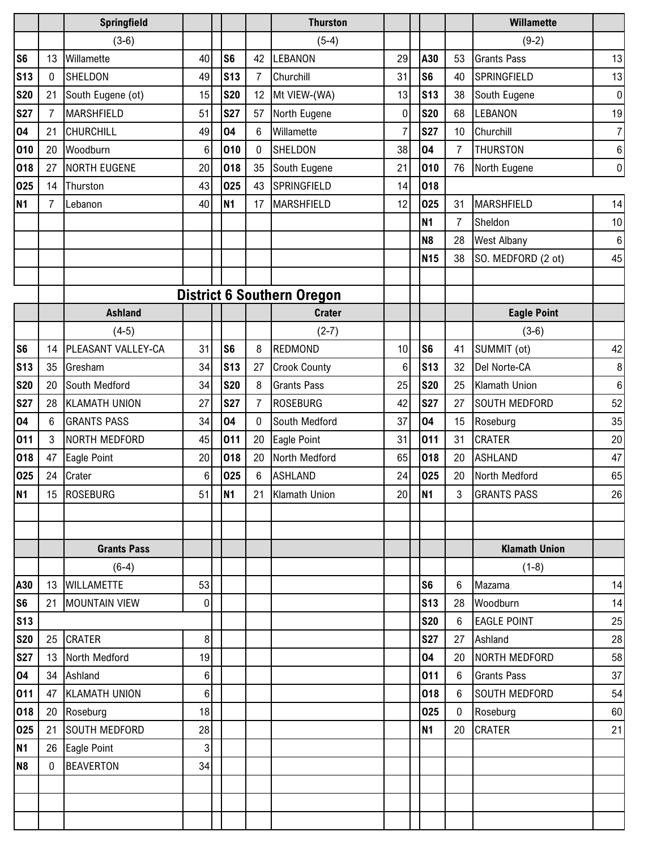|                |              | Springfield          |         |                |                | <b>Thurston</b>                   |                 |                 |                | <b>Willamette</b>    |                |
|----------------|--------------|----------------------|---------|----------------|----------------|-----------------------------------|-----------------|-----------------|----------------|----------------------|----------------|
|                |              | $(3-6)$              |         |                |                | $(5-4)$                           |                 |                 |                | $(9-2)$              |                |
| S <sub>6</sub> | 13           | Willamette           | 40      | S <sub>6</sub> | 42             | LEBANON                           | 29              | A30             | 53             | <b>Grants Pass</b>   | 13             |
| <b>S13</b>     | $\mathbf{0}$ | <b>SHELDON</b>       | 49      | <b>S13</b>     | $\overline{7}$ | Churchill                         | 31              | S <sub>6</sub>  | 40             | SPRINGFIELD          | 13             |
| <b>S20</b>     | 21           | South Eugene (ot)    | 15      | <b>S20</b>     | 12             | Mt VIEW-(WA)                      | 13              | <b>S13</b>      | 38             | South Eugene         | 0              |
| <b>S27</b>     | 7            | <b>MARSHFIELD</b>    | 51      | <b>S27</b>     | 57             | North Eugene                      | 0               | <b>S20</b>      | 68             | <b>LEBANON</b>       | 19             |
| 04             | 21           | <b>CHURCHILL</b>     | 49      | 04             | 6              | Willamette                        |                 | <b>S27</b>      | 10             | Churchill            | 7 <sup>1</sup> |
| 010            | 20           | Woodburn             | 6       | 010            | 0              | <b>SHELDON</b>                    | 38              | 04              | $\overline{7}$ | <b>THURSTON</b>      | 6              |
| 018            | 27           | <b>NORTH EUGENE</b>  | 20      | 018            | 35             | South Eugene                      | 21              | 010             | 76             | North Eugene         | 0              |
| 025            | 14           | Thurston             | 43      | 025            | 43             | SPRINGFIELD                       | 14              | 018             |                |                      |                |
| <b>N1</b>      | 7            | Lebanon              | 40      | <b>N1</b>      | 17             | <b>MARSHFIELD</b>                 | 12              | 025             | 31             | <b>MARSHFIELD</b>    | 14             |
|                |              |                      |         |                |                |                                   |                 | N1              | $\overline{7}$ | Sheldon              | 10             |
|                |              |                      |         |                |                |                                   |                 | N <sub>8</sub>  | 28             | <b>West Albany</b>   | 6              |
|                |              |                      |         |                |                |                                   |                 | N <sub>15</sub> | 38             | SO. MEDFORD (2 ot)   | 45             |
|                |              |                      |         |                |                |                                   |                 |                 |                |                      |                |
|                |              |                      |         |                |                | <b>District 6 Southern Oregon</b> |                 |                 |                |                      |                |
|                |              | <b>Ashland</b>       |         |                |                | <b>Crater</b>                     |                 |                 |                | <b>Eagle Point</b>   |                |
|                |              | $(4-5)$              |         |                |                | $(2-7)$                           |                 |                 |                | $(3-6)$              |                |
| S <sub>6</sub> | 14           | PLEASANT VALLEY-CA   | 31      | S <sub>6</sub> | 8              | <b>REDMOND</b>                    | 10              | S <sub>6</sub>  | 41             | SUMMIT (ot)          | 42             |
| <b>S13</b>     | 35           | Gresham              | 34      | <b>S13</b>     | 27             | <b>Crook County</b>               | $6\phantom{.}$  | <b>S13</b>      | 32             | Del Norte-CA         | 8              |
| <b>S20</b>     | 20           | South Medford        | 34      | <b>S20</b>     | 8              | <b>Grants Pass</b>                | 25              | <b>S20</b>      | 25             | <b>Klamath Union</b> | 6              |
| <b>S27</b>     | 28           | <b>KLAMATH UNION</b> | 27      | <b>S27</b>     | $\overline{7}$ | <b>ROSEBURG</b>                   | 42              | <b>S27</b>      | 27             | <b>SOUTH MEDFORD</b> | 52             |
| 04             | 6            | <b>GRANTS PASS</b>   | 34      | 04             | $\mathbf 0$    | South Medford                     | 37              | 04              | 15             | Roseburg             | 35             |
| 011            | 3            | NORTH MEDFORD        | 45      | 011            | 20             | Eagle Point                       | 31              | 011             | 31             | <b>CRATER</b>        | 20             |
| 018            | 47           | Eagle Point          | 20      | 018            | 20             | North Medford                     | 65              | 018             | 20             | <b>ASHLAND</b>       | 47             |
| 025            | 24           | Crater               | $\,6\,$ | 025            | $6\phantom{.}$ | <b>ASHLAND</b>                    | 24              | 025             | 20             | North Medford        | 65             |
| <b>N1</b>      |              | 15 ROSEBURG          | 51      | N <sub>1</sub> | 21             | Klamath Union                     | 20 <sub>l</sub> | N <sub>1</sub>  | $\overline{3}$ | <b>GRANTS PASS</b>   | $26\,$         |
|                |              |                      |         |                |                |                                   |                 |                 |                |                      |                |
|                |              |                      |         |                |                |                                   |                 |                 |                |                      |                |
|                |              | <b>Grants Pass</b>   |         |                |                |                                   |                 |                 |                | <b>Klamath Union</b> |                |
|                |              | $(6-4)$              |         |                |                |                                   |                 |                 |                | $(1-8)$              |                |
| A30            |              | 13 WILLAMETTE        | 53      |                |                |                                   |                 | S <sub>6</sub>  | 6              | Mazama               | 14             |
| S <sub>6</sub> | 21           | <b>MOUNTAIN VIEW</b> | 0       |                |                |                                   |                 | <b>S13</b>      | 28             | Woodburn             | 14             |
| <b>S13</b>     |              |                      |         |                |                |                                   |                 | <b>S20</b>      | 6              | <b>EAGLE POINT</b>   | 25             |
| <b>S20</b>     |              | 25 CRATER            | 8       |                |                |                                   |                 | <b>S27</b>      | 27             | Ashland              | 28             |
| <b>S27</b>     |              | 13 North Medford     | 19      |                |                |                                   |                 | 04              | 20             | NORTH MEDFORD        | 58             |
| 04             |              | 34 Ashland           | 6       |                |                |                                   |                 | 011             | 6              | <b>Grants Pass</b>   | 37             |
| 011            | 47           | <b>KLAMATH UNION</b> | 6       |                |                |                                   |                 | 018             | 6              | <b>SOUTH MEDFORD</b> | 54             |
| 018            |              | 20 Roseburg          | 18      |                |                |                                   |                 | 025             | $\mathbf 0$    | Roseburg             | 60             |
| 025            | 21           | <b>SOUTH MEDFORD</b> | 28      |                |                |                                   |                 | <b>N1</b>       | 20             | <b>CRATER</b>        | 21             |
| <b>N1</b>      |              | 26 Eagle Point       | 3       |                |                |                                   |                 |                 |                |                      |                |
| N <sub>8</sub> | $\mathbf{0}$ | <b>BEAVERTON</b>     | 34      |                |                |                                   |                 |                 |                |                      |                |
|                |              |                      |         |                |                |                                   |                 |                 |                |                      |                |
|                |              |                      |         |                |                |                                   |                 |                 |                |                      |                |
|                |              |                      |         |                |                |                                   |                 |                 |                |                      |                |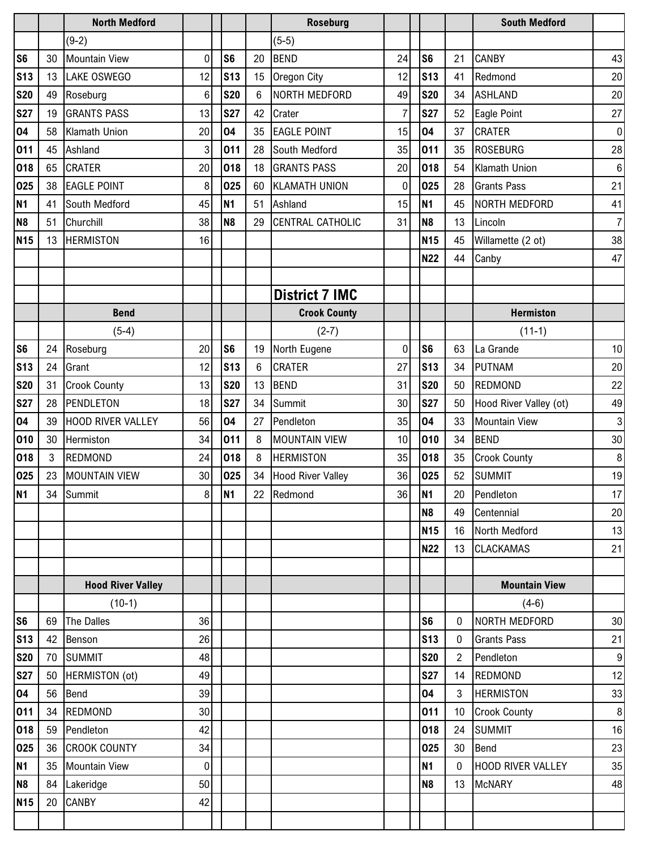|                 |    | <b>North Medford</b>     |              |                 |    | <b>Roseburg</b>          |                |                |                 | <b>South Medford</b>     |                  |
|-----------------|----|--------------------------|--------------|-----------------|----|--------------------------|----------------|----------------|-----------------|--------------------------|------------------|
|                 |    | $(9-2)$                  |              |                 |    | $(5-5)$                  |                |                |                 |                          |                  |
| S <sub>6</sub>  | 30 | <b>Mountain View</b>     | $\mathbf{0}$ | S <sub>6</sub>  | 20 | <b>BEND</b>              | 24             | S <sub>6</sub> | 21              | <b>CANBY</b>             | 43               |
| S <sub>13</sub> | 13 | <b>LAKE OSWEGO</b>       | 12           | <b>S13</b>      | 15 | Oregon City              | 12             | <b>S13</b>     | 41              | Redmond                  | 20               |
| <b>S20</b>      | 49 | Roseburg                 | 6            | <b>S20</b>      | 6  | NORTH MEDFORD            | 49             | <b>S20</b>     | 34              | <b>ASHLAND</b>           | 20               |
| <b>S27</b>      | 19 | <b>GRANTS PASS</b>       | 13           | <b>S27</b>      | 42 | Crater                   | 7              | <b>S27</b>     | 52              | <b>Eagle Point</b>       | 27               |
| 04              | 58 | <b>Klamath Union</b>     | 20           | 04              | 35 | <b>EAGLE POINT</b>       | 15             | 04             | 37              | <b>CRATER</b>            | 0                |
| 011             | 45 | Ashland                  | 3            | 011             | 28 | South Medford            | 35             | 011            | 35              | <b>ROSEBURG</b>          | 28               |
| 018             | 65 | <b>CRATER</b>            | 20           | 018             | 18 | <b>GRANTS PASS</b>       | 20             | 018            | 54              | Klamath Union            | $\boldsymbol{6}$ |
| 025             | 38 | <b>EAGLE POINT</b>       | 8            | 025             | 60 | <b>KLAMATH UNION</b>     | $\mathbf 0$    | 025            | 28              | <b>Grants Pass</b>       | 21               |
| <b>N1</b>       | 41 | South Medford            | 45           | <b>N1</b>       | 51 | Ashland                  | 15             | <b>N1</b>      | 45              | NORTH MEDFORD            | 41               |
| N <sub>8</sub>  | 51 | Churchill                | 38           | N <sub>8</sub>  | 29 | CENTRAL CATHOLIC         | 31             | N <sub>8</sub> | 13              | Lincoln                  | 7 <sup>1</sup>   |
| <b>N15</b>      | 13 | <b>HERMISTON</b>         | 16           |                 |    |                          |                | <b>N15</b>     | 45              | Willamette (2 ot)        | 38               |
|                 |    |                          |              |                 |    |                          |                | <b>N22</b>     | 44              | Canby                    | 47               |
|                 |    |                          |              |                 |    |                          |                |                |                 |                          |                  |
|                 |    |                          |              |                 |    | <b>District 7 IMC</b>    |                |                |                 |                          |                  |
|                 |    | <b>Bend</b>              |              |                 |    | <b>Crook County</b>      |                |                |                 | <b>Hermiston</b>         |                  |
|                 |    | $(5-4)$                  |              |                 |    | $(2-7)$                  |                |                |                 | $(11-1)$                 |                  |
| S <sub>6</sub>  | 24 | Roseburg                 | 20           | S <sub>6</sub>  | 19 | North Eugene             | $\overline{0}$ | S <sub>6</sub> | 63              | La Grande                | 10 <sup>1</sup>  |
| S <sub>13</sub> | 24 | Grant                    | 12           | S <sub>13</sub> | 6  | <b>CRATER</b>            | 27             | <b>S13</b>     | 34              | <b>PUTNAM</b>            | 20               |
| <b>S20</b>      | 31 | <b>Crook County</b>      | 13           | <b>S20</b>      | 13 | <b>BEND</b>              | 31             | <b>S20</b>     | 50              | <b>REDMOND</b>           | 22               |
| <b>S27</b>      | 28 | PENDLETON                | 18           | <b>S27</b>      | 34 | Summit                   | 30             | <b>S27</b>     | 50              | Hood River Valley (ot)   | 49               |
| 04              | 39 | <b>HOOD RIVER VALLEY</b> | 56           | 04              | 27 | Pendleton                | 35             | 04             | 33              | <b>Mountain View</b>     | 3                |
| 010             | 30 | Hermiston                | 34           | 011             | 8  | <b>MOUNTAIN VIEW</b>     | 10             | 010            | 34              | <b>BEND</b>              | 30               |
| 018             | 3  | <b>REDMOND</b>           | 24           | 018             | 8  | <b>HERMISTON</b>         | 35             | 018            | 35              | <b>Crook County</b>      | $\, 8$           |
| 025             | 23 | <b>MOUNTAIN VIEW</b>     | 30           | 025             | 34 | <b>Hood River Valley</b> | 36             | 025            | 52              | <b>SUMMIT</b>            | 19               |
| <b>N1</b>       | 34 | Summit                   | 8            | N <sub>1</sub>  | 22 | Redmond                  | 36             | N <sub>1</sub> | 20              | Pendleton                | 17 <sub>l</sub>  |
|                 |    |                          |              |                 |    |                          |                | N <sub>8</sub> | 49              | Centennial               | 20               |
|                 |    |                          |              |                 |    |                          |                | <b>N15</b>     | 16              | North Medford            | 13               |
|                 |    |                          |              |                 |    |                          |                | <b>N22</b>     | 13              | <b>CLACKAMAS</b>         | 21               |
|                 |    |                          |              |                 |    |                          |                |                |                 |                          |                  |
|                 |    | <b>Hood River Valley</b> |              |                 |    |                          |                |                |                 | <b>Mountain View</b>     |                  |
|                 |    | $(10-1)$                 |              |                 |    |                          |                |                |                 | $(4-6)$                  |                  |
| S <sub>6</sub>  | 69 | The Dalles               | 36           |                 |    |                          |                | S <sub>6</sub> | 0               | NORTH MEDFORD            | 30               |
| <b>S13</b>      | 42 | Benson                   | 26           |                 |    |                          |                | <b>S13</b>     | 0               | <b>Grants Pass</b>       | 21               |
| <b>S20</b>      | 70 | <b>SUMMIT</b>            | 48           |                 |    |                          |                | <b>S20</b>     | 2               | Pendleton                | 9                |
| <b>S27</b>      | 50 | HERMISTON (ot)           | 49           |                 |    |                          |                | <b>S27</b>     | 14              | <b>REDMOND</b>           | 12               |
| 04              | 56 | Bend                     | 39           |                 |    |                          |                | 04             | $\mathbf{3}$    | <b>HERMISTON</b>         | 33               |
| 011             |    | 34 REDMOND               | 30           |                 |    |                          |                | 011            | 10 <sup>°</sup> | <b>Crook County</b>      | 8 <sup>1</sup>   |
| 018             | 59 | Pendleton                | 42           |                 |    |                          |                | 018            | 24              | <b>SUMMIT</b>            | 16               |
| 025             | 36 | <b>CROOK COUNTY</b>      | 34           |                 |    |                          |                | 025            | 30              | Bend                     | 23               |
| <b>N1</b>       |    | 35 Mountain View         | $\mathbf 0$  |                 |    |                          |                | <b>N1</b>      | $\mathbf{0}$    | <b>HOOD RIVER VALLEY</b> | 35               |
| N <sub>8</sub>  |    | 84 Lakeridge             | 50           |                 |    |                          |                | N <sub>8</sub> | 13              | <b>McNARY</b>            | 48               |
| <b>N15</b>      | 20 | <b>CANBY</b>             | 42           |                 |    |                          |                |                |                 |                          |                  |
|                 |    |                          |              |                 |    |                          |                |                |                 |                          |                  |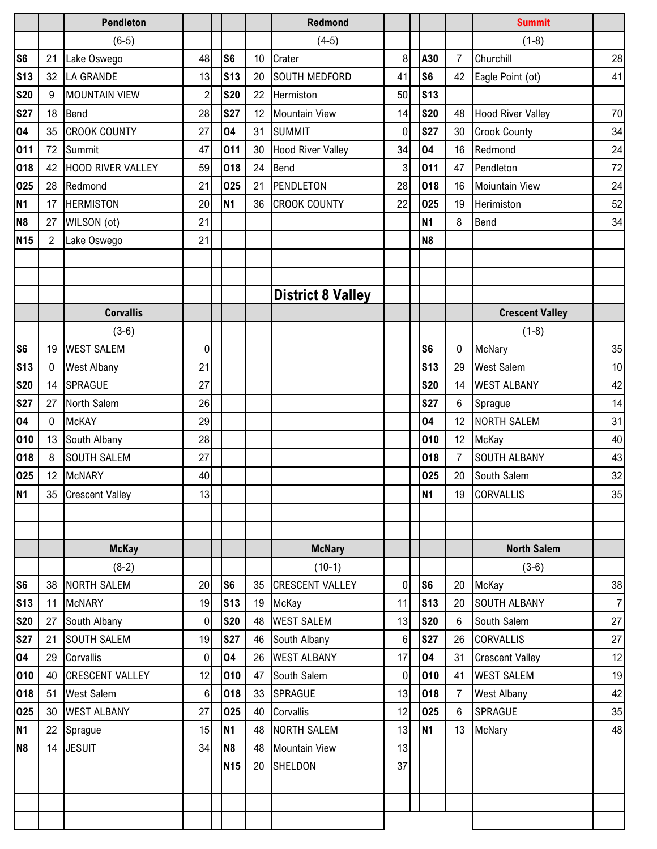|                |                 | <b>Pendleton</b>       |                 |                |    | <b>Redmond</b>           |                |                |                | <b>Summit</b>            |    |
|----------------|-----------------|------------------------|-----------------|----------------|----|--------------------------|----------------|----------------|----------------|--------------------------|----|
|                |                 | $(6-5)$                |                 |                |    | $(4-5)$                  |                |                |                | $(1-8)$                  |    |
| S <sub>6</sub> | 21              | Lake Oswego            | 48              | S <sub>6</sub> | 10 | Crater                   | 8              | A30            | $\overline{7}$ | Churchill                | 28 |
| <b>S13</b>     | 32              | LA GRANDE              | 13              | <b>S13</b>     | 20 | <b>SOUTH MEDFORD</b>     | 41             | S <sub>6</sub> | 42             | Eagle Point (ot)         | 41 |
| <b>S20</b>     | 9               | <b>MOUNTAIN VIEW</b>   | $\overline{2}$  | <b>S20</b>     | 22 | Hermiston                | 50             | <b>S13</b>     |                |                          |    |
| <b>S27</b>     | 18              | Bend                   | 28              | <b>S27</b>     | 12 | <b>Mountain View</b>     | 14             | <b>S20</b>     | 48             | <b>Hood River Valley</b> | 70 |
| 04             | 35              | <b>CROOK COUNTY</b>    | 27              | 04             | 31 | <b>SUMMIT</b>            | 0              | <b>S27</b>     | 30             | <b>Crook County</b>      | 34 |
| 011            | 72              | Summit                 | 47              | 011            | 30 | <b>Hood River Valley</b> | 34             | 04             | 16             | Redmond                  | 24 |
| 018            | 42              | HOOD RIVER VALLEY      | 59              | 018            | 24 | Bend                     | 3              | 011            | 47             | Pendleton                | 72 |
| 025            | 28              | Redmond                | 21              | 025            | 21 | PENDLETON                | 28             | 018            | 16             | <b>Moiuntain View</b>    | 24 |
| <b>N1</b>      | 17              | <b>HERMISTON</b>       | 20              | <b>N1</b>      | 36 | <b>CROOK COUNTY</b>      | 22             | 025            | 19             | Herimiston               | 52 |
| N <sub>8</sub> | 27              | WILSON (ot)            | 21              |                |    |                          |                | <b>N1</b>      | 8              | Bend                     | 34 |
| <b>N15</b>     | 2               | Lake Oswego            | 21              |                |    |                          |                | N <sub>8</sub> |                |                          |    |
|                |                 |                        |                 |                |    |                          |                |                |                |                          |    |
|                |                 |                        |                 |                |    |                          |                |                |                |                          |    |
|                |                 |                        |                 |                |    | <b>District 8 Valley</b> |                |                |                |                          |    |
|                |                 | <b>Corvallis</b>       |                 |                |    |                          |                |                |                | <b>Crescent Valley</b>   |    |
|                |                 | $(3-6)$                |                 |                |    |                          |                |                |                | $(1-8)$                  |    |
| S <sub>6</sub> | 19              | <b>WEST SALEM</b>      | 0               |                |    |                          |                | S <sub>6</sub> | 0              | McNary                   | 35 |
| <b>S13</b>     | $\mathbf 0$     | <b>West Albany</b>     | 21              |                |    |                          |                | <b>S13</b>     | 29             | <b>West Salem</b>        | 10 |
| <b>S20</b>     | 14              | <b>SPRAGUE</b>         | 27              |                |    |                          |                | <b>S20</b>     | 14             | <b>WEST ALBANY</b>       | 42 |
| <b>S27</b>     | 27              | North Salem            | 26              |                |    |                          |                | <b>S27</b>     | 6              | Sprague                  | 14 |
| 04             | $\mathbf{0}$    | <b>McKAY</b>           | 29              |                |    |                          |                | 04             | 12             | <b>NORTH SALEM</b>       | 31 |
| 010            | 13              | South Albany           | 28              |                |    |                          |                | 010            | 12             | McKay                    | 40 |
| 018            | 8               | <b>SOUTH SALEM</b>     | 27              |                |    |                          |                | 018            | $\overline{7}$ | <b>SOUTH ALBANY</b>      | 43 |
| 025            | 12 <sup>°</sup> | <b>McNARY</b>          | 40              |                |    |                          |                | 025            | 20             | South Salem              | 32 |
| N <sub>1</sub> |                 | 35 Crescent Valley     | 13              |                |    |                          |                | <b>N1</b>      | 19             | <b>CORVALLIS</b>         | 35 |
|                |                 |                        |                 |                |    |                          |                |                |                |                          |    |
|                |                 |                        |                 |                |    |                          |                |                |                |                          |    |
|                |                 | <b>McKay</b>           |                 |                |    | <b>McNary</b>            |                |                |                | <b>North Salem</b>       |    |
|                |                 | $(8-2)$                |                 |                |    | $(10-1)$                 |                |                |                | $(3-6)$                  |    |
| S <sub>6</sub> | 38              | <b>NORTH SALEM</b>     | 20              | S <sub>6</sub> | 35 | <b>CRESCENT VALLEY</b>   | 0              | S <sub>6</sub> | 20             | McKay                    | 38 |
| <b>S13</b>     | 11              | <b>McNARY</b>          | 19              | <b>S13</b>     |    | 19 McKay                 | 11             | <b>S13</b>     | 20             | <b>SOUTH ALBANY</b>      | 7  |
| <b>S20</b>     | 27              | South Albany           | 0               | <b>S20</b>     |    | 48 WEST SALEM            | 13             | <b>S20</b>     | 6              | South Salem              | 27 |
| <b>S27</b>     | 21              | <b>SOUTH SALEM</b>     | 19              | <b>S27</b>     | 46 | South Albany             | $6 \,$         | <b>S27</b>     | 26             | <b>CORVALLIS</b>         | 27 |
| 04             | 29              | Corvallis              | $\overline{0}$  | 04             | 26 | <b>WEST ALBANY</b>       | 17             | 04             | 31             | <b>Crescent Valley</b>   | 12 |
| 010            | 40              | <b>CRESCENT VALLEY</b> | 12              | 010            | 47 | South Salem              | $\overline{0}$ | 010            | 41             | <b>WEST SALEM</b>        | 19 |
| 018            | 51              | <b>West Salem</b>      | $6\phantom{1}6$ | 018            | 33 | SPRAGUE                  | 13             | 018            | $\overline{7}$ | <b>West Albany</b>       | 42 |
| 025            |                 | 30 WEST ALBANY         | 27              | 025            | 40 | Corvallis                | 12             | 025            | 6              | <b>SPRAGUE</b>           | 35 |
| <b>N1</b>      |                 | 22 Sprague             | 15              | <b>N1</b>      | 48 | <b>NORTH SALEM</b>       | 13             | <b>N1</b>      | 13             | McNary                   | 48 |
| N <sub>8</sub> | 14              | <b>JESUIT</b>          | 34              | N <sub>8</sub> | 48 | <b>Mountain View</b>     | 13             |                |                |                          |    |
|                |                 |                        |                 | <b>N15</b>     | 20 | SHELDON                  | 37             |                |                |                          |    |
|                |                 |                        |                 |                |    |                          |                |                |                |                          |    |
|                |                 |                        |                 |                |    |                          |                |                |                |                          |    |
|                |                 |                        |                 |                |    |                          |                |                |                |                          |    |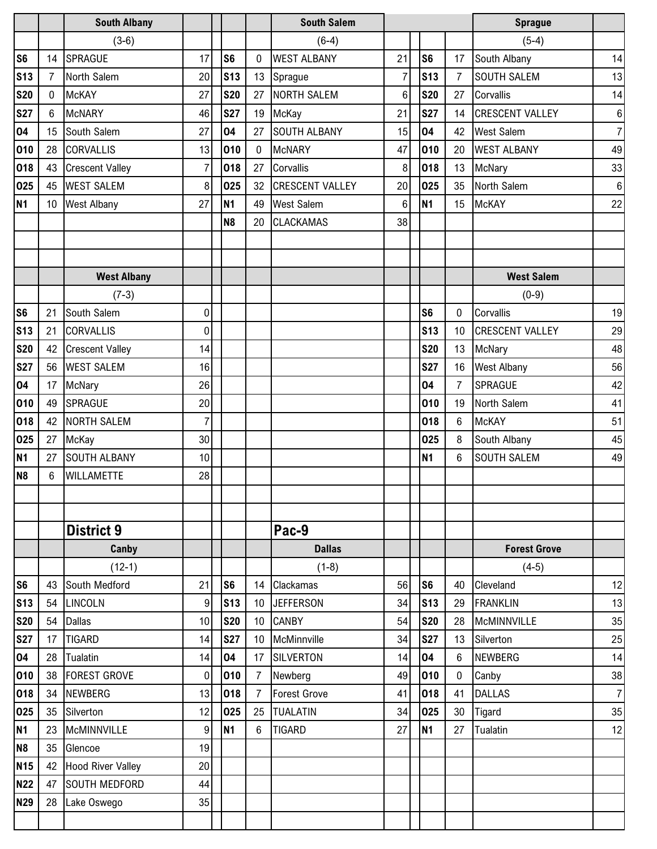|                 |                 | <b>South Albany</b>      |                |                 |                | <b>South Salem</b>     |                |                |                  | <b>Sprague</b>         |                  |
|-----------------|-----------------|--------------------------|----------------|-----------------|----------------|------------------------|----------------|----------------|------------------|------------------------|------------------|
|                 |                 | $(3-6)$                  |                |                 |                | $(6-4)$                |                |                |                  | $(5-4)$                |                  |
| S <sub>6</sub>  | 14              | <b>SPRAGUE</b>           | 17             | S <sub>6</sub>  | $\mathbf 0$    | <b>WEST ALBANY</b>     | 21             | S <sub>6</sub> | 17               | South Albany           | 14               |
| <b>S13</b>      | $\overline{7}$  | North Salem              | 20             | s <sub>13</sub> | 13             | Sprague                | 7              | <b>S13</b>     | $\overline{7}$   | SOUTH SALEM            | 13               |
| <b>S20</b>      | $\mathbf{0}$    | <b>McKAY</b>             | 27             | <b>S20</b>      | 27             | <b>NORTH SALEM</b>     | $6\phantom{.}$ | <b>S20</b>     | 27               | Corvallis              | 14               |
| <b>S27</b>      | 6               | <b>McNARY</b>            | 46             | <b>S27</b>      | 19             | McKay                  | 21             | <b>S27</b>     | 14               | <b>CRESCENT VALLEY</b> | $\bf 6$          |
| 04              | 15              | South Salem              | 27             | 04              | 27             | <b>SOUTH ALBANY</b>    | 15             | 04             | 42               | <b>West Salem</b>      | $\overline{7}$   |
| 010             | 28              | <b>CORVALLIS</b>         | 13             | 010             | $\mathbf 0$    | <b>McNARY</b>          | 47             | 010            | 20               | <b>WEST ALBANY</b>     | 49               |
| 018             | 43              | <b>Crescent Valley</b>   | $\overline{7}$ | 018             | 27             | Corvallis              | 8              | 018            | 13               | McNary                 | 33               |
| 025             | 45              | <b>WEST SALEM</b>        | 8              | 025             | 32             | <b>CRESCENT VALLEY</b> | 20             | 025            | 35               | North Salem            | $\boldsymbol{6}$ |
| <b>N1</b>       | 10 <sup>°</sup> | <b>West Albany</b>       | 27             | <b>N1</b>       | 49             | <b>West Salem</b>      | 6              | <b>N1</b>      | 15               | <b>McKAY</b>           | 22               |
|                 |                 |                          |                | N <sub>8</sub>  | 20             | <b>CLACKAMAS</b>       | 38             |                |                  |                        |                  |
|                 |                 |                          |                |                 |                |                        |                |                |                  |                        |                  |
|                 |                 |                          |                |                 |                |                        |                |                |                  |                        |                  |
|                 |                 | <b>West Albany</b>       |                |                 |                |                        |                |                |                  | <b>West Salem</b>      |                  |
|                 |                 | $(7-3)$                  |                |                 |                |                        |                |                |                  | $(0-9)$                |                  |
| S <sub>6</sub>  | 21              | South Salem              | 0              |                 |                |                        |                | S <sub>6</sub> | 0                | Corvallis              | 19               |
| S <sub>13</sub> | 21              | <b>CORVALLIS</b>         | 0              |                 |                |                        |                | <b>S13</b>     | 10               | <b>CRESCENT VALLEY</b> | 29               |
| <b>S20</b>      | 42              | <b>Crescent Valley</b>   | 14             |                 |                |                        |                | <b>S20</b>     | 13               | McNary                 | 48               |
| <b>S27</b>      | 56              | <b>WEST SALEM</b>        | 16             |                 |                |                        |                | <b>S27</b>     | 16               | West Albany            | 56               |
| 04              | 17              | McNary                   | 26             |                 |                |                        |                | 04             | $\overline{7}$   | SPRAGUE                | 42               |
| 010             | 49              | <b>SPRAGUE</b>           | 20             |                 |                |                        |                | 010            | 19               | North Salem            | 41               |
| 018             |                 | 42 NORTH SALEM           | $\overline{7}$ |                 |                |                        |                | 018            | 6                | <b>McKAY</b>           | 51               |
| 025             | 27              | <b>McKay</b>             | 30             |                 |                |                        |                | 025            | 8                | South Albany           | 45               |
| <b>N1</b>       | 27              | <b>SOUTH ALBANY</b>      | 10             |                 |                |                        |                | <b>N1</b>      | 6                | <b>SOUTH SALEM</b>     | 49               |
| N <sub>8</sub>  | 6               | <b>WILLAMETTE</b>        | 28             |                 |                |                        |                |                |                  |                        |                  |
|                 |                 |                          |                |                 |                |                        |                |                |                  |                        |                  |
|                 |                 |                          |                |                 |                |                        |                |                |                  |                        |                  |
|                 |                 | <b>District 9</b>        |                |                 |                | Pac-9                  |                |                |                  |                        |                  |
|                 |                 | Canby                    |                |                 |                | <b>Dallas</b>          |                |                |                  | <b>Forest Grove</b>    |                  |
|                 |                 | $(12-1)$                 |                |                 |                | $(1-8)$                |                |                |                  | $(4-5)$                |                  |
| S <sub>6</sub>  | 43              | South Medford            | 21             | S <sub>6</sub>  | 14             | <b>Clackamas</b>       | 56             | S <sub>6</sub> | 40               | Cleveland              | 12               |
| S <sub>13</sub> | 54              | <b>LINCOLN</b>           | 9              | S <sub>13</sub> | 10             | <b>JEFFERSON</b>       | 34             | <b>S13</b>     | 29               | <b>FRANKLIN</b>        | 13               |
| <b>S20</b>      | 54              | <b>Dallas</b>            | 10             | <b>S20</b>      | 10             | <b>CANBY</b>           | 54             | <b>S20</b>     | 28               | <b>McMINNVILLE</b>     | 35               |
| <b>S27</b>      | 17              | <b>TIGARD</b>            | 14             | <b>S27</b>      | 10             | McMinnville            | 34             | <b>S27</b>     | 13               | Silverton              | 25               |
| 04              | 28              | Tualatin                 | 14             | 04              | 17             | <b>SILVERTON</b>       | 14             | 04             | 6                | NEWBERG                | 14               |
| 010             | 38              | <b>FOREST GROVE</b>      | $\pmb{0}$      | 010             | $\overline{7}$ | Newberg                | 49             | 010            | $\boldsymbol{0}$ | Canby                  | 38               |
| 018             | 34              | <b>NEWBERG</b>           | 13             | 018             | $\overline{7}$ | <b>Forest Grove</b>    | 41             | 018            | 41               | <b>DALLAS</b>          | $\overline{7}$   |
| 025             | 35              | Silverton                | 12             | 025             | 25             | <b>TUALATIN</b>        | 34             | 025            | 30               | Tigard                 | 35               |
| <b>N1</b>       | 23              | <b>McMINNVILLE</b>       | 9              | <b>N1</b>       | 6              | <b>TIGARD</b>          | 27             | <b>N1</b>      | 27               | Tualatin               | 12               |
| N <sub>8</sub>  | 35              | Glencoe                  | 19             |                 |                |                        |                |                |                  |                        |                  |
| N <sub>15</sub> | 42              | <b>Hood River Valley</b> | 20             |                 |                |                        |                |                |                  |                        |                  |
| <b>N22</b>      | 47              | <b>SOUTH MEDFORD</b>     | 44             |                 |                |                        |                |                |                  |                        |                  |
| <b>N29</b>      | 28              | Lake Oswego              | 35             |                 |                |                        |                |                |                  |                        |                  |
|                 |                 |                          |                |                 |                |                        |                |                |                  |                        |                  |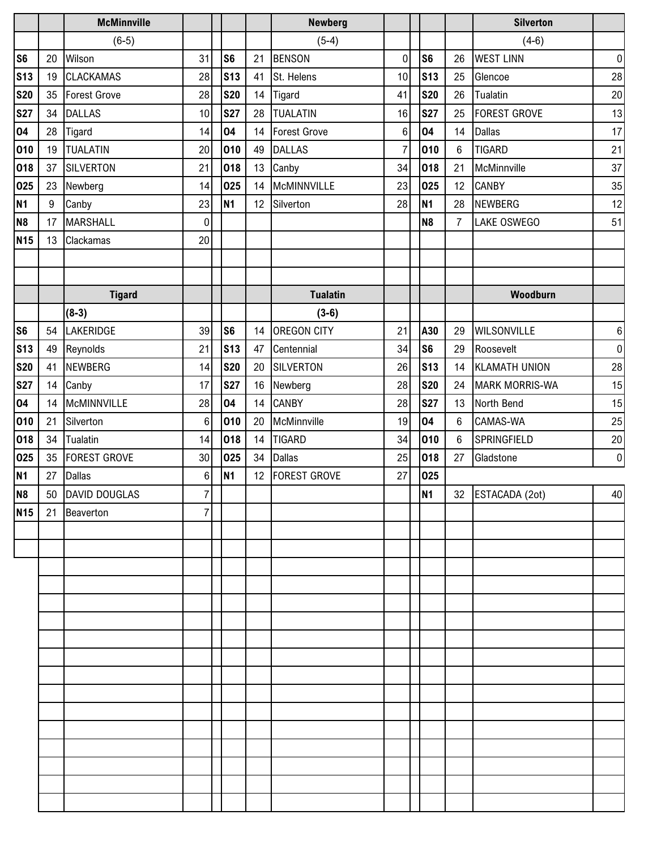|                |    | <b>McMinnville</b>  |                |                 |                 | <b>Newberg</b>      |                |                |                | <b>Silverton</b>      |                  |
|----------------|----|---------------------|----------------|-----------------|-----------------|---------------------|----------------|----------------|----------------|-----------------------|------------------|
|                |    | $(6-5)$             |                |                 |                 | $(5-4)$             |                |                |                | $(4-6)$               |                  |
| S <sub>6</sub> | 20 | Wilson              | 31             | S <sub>6</sub>  | 21              | <b>BENSON</b>       | $\pmb{0}$      | S <sub>6</sub> | 26             | <b>WEST LINN</b>      | $\pmb{0}$        |
| <b>S13</b>     | 19 | <b>CLACKAMAS</b>    | 28             | S <sub>13</sub> | 41              | St. Helens          | 10             | <b>S13</b>     | 25             | Glencoe               | 28               |
| <b>S20</b>     | 35 | Forest Grove        | 28             | <b>S20</b>      | 14              | Tigard              | 41             | <b>S20</b>     | 26             | Tualatin              | 20               |
| <b>S27</b>     | 34 | <b>DALLAS</b>       | 10             | <b>S27</b>      | 28              | <b>TUALATIN</b>     | 16             | <b>S27</b>     | 25             | <b>FOREST GROVE</b>   | 13               |
| 04             | 28 | Tigard              | 14             | 04              | 14              | <b>Forest Grove</b> | 6              | 04             | 14             | <b>Dallas</b>         | 17               |
| 010            | 19 | <b>TUALATIN</b>     | 20             | 010             | 49              | <b>DALLAS</b>       | $\overline{7}$ | 010            | $6\phantom{1}$ | <b>TIGARD</b>         | 21               |
| 018            | 37 | <b>SILVERTON</b>    | 21             | 018             | 13              | Canby               | 34             | 018            | 21             | McMinnville           | 37               |
| 025            | 23 | Newberg             | 14             | 025             | 14              | McMINNVILLE         | 23             | 025            | 12             | <b>CANBY</b>          | 35               |
| <b>N1</b>      | 9  | Canby               | 23             | <b>N1</b>       | 12 <sup>°</sup> | Silverton           | 28             | <b>N1</b>      | 28             | <b>NEWBERG</b>        | 12               |
| N <sub>8</sub> | 17 | <b>MARSHALL</b>     | $\mathbf 0$    |                 |                 |                     |                | N <sub>8</sub> | $\overline{7}$ | LAKE OSWEGO           | 51               |
| <b>N15</b>     | 13 | Clackamas           | 20             |                 |                 |                     |                |                |                |                       |                  |
|                |    |                     |                |                 |                 |                     |                |                |                |                       |                  |
|                |    |                     |                |                 |                 |                     |                |                |                |                       |                  |
|                |    | <b>Tigard</b>       |                |                 |                 | <b>Tualatin</b>     |                |                |                | Woodburn              |                  |
|                |    | $(8-3)$             |                |                 |                 | $(3-6)$             |                |                |                |                       |                  |
| S <sub>6</sub> | 54 | LAKERIDGE           | 39             | S <sub>6</sub>  | 14              | <b>OREGON CITY</b>  | 21             | A30            | 29             | <b>WILSONVILLE</b>    | $\,6\,$          |
| <b>S13</b>     | 49 | Reynolds            | 21             | <b>S13</b>      | 47              | Centennial          | 34             | S <sub>6</sub> | 29             | Roosevelt             | $\overline{0}$   |
| <b>S20</b>     | 41 | NEWBERG             | 14             | <b>S20</b>      | 20              | SILVERTON           | 26             | <b>S13</b>     | 14             | <b>KLAMATH UNION</b>  | 28               |
| <b>S27</b>     | 14 | Canby               | 17             | <b>S27</b>      | 16              | Newberg             | 28             | <b>S20</b>     | 24             | <b>MARK MORRIS-WA</b> | 15               |
| 04             | 14 | McMINNVILLE         | 28             | 04              | 14              | <b>CANBY</b>        | 28             | <b>S27</b>     | 13             | North Bend            | 15               |
| 010            | 21 | Silverton           | 6              | 010             | 20              | McMinnville         | 19             | 04             | 6              | <b>CAMAS-WA</b>       | 25               |
| 018            | 34 | Tualatin            | 14             | 018             | 14              | <b>TIGARD</b>       | 34             | 010            | 6              | SPRINGFIELD           | 20               |
| 025            | 35 | <b>FOREST GROVE</b> | 30             | 025             | 34              | <b>Dallas</b>       | 25             | 018            | 27             | Gladstone             | $\boldsymbol{0}$ |
| <b>N1</b>      | 27 | <b>Dallas</b>       | $\,6$          | N <sub>1</sub>  | 12              | <b>FOREST GROVE</b> | 27             | 025            |                |                       |                  |
| N <sub>8</sub> |    | 50 DAVID DOUGLAS    | $\overline{7}$ |                 |                 |                     |                | <b>N1</b>      |                | 32 ESTACADA (2ot)     | 40               |
| <b>N15</b>     |    | 21 Beaverton        | 7              |                 |                 |                     |                |                |                |                       |                  |
|                |    |                     |                |                 |                 |                     |                |                |                |                       |                  |
|                |    |                     |                |                 |                 |                     |                |                |                |                       |                  |
|                |    |                     |                |                 |                 |                     |                |                |                |                       |                  |
|                |    |                     |                |                 |                 |                     |                |                |                |                       |                  |
|                |    |                     |                |                 |                 |                     |                |                |                |                       |                  |
|                |    |                     |                |                 |                 |                     |                |                |                |                       |                  |
|                |    |                     |                |                 |                 |                     |                |                |                |                       |                  |
|                |    |                     |                |                 |                 |                     |                |                |                |                       |                  |
|                |    |                     |                |                 |                 |                     |                |                |                |                       |                  |
|                |    |                     |                |                 |                 |                     |                |                |                |                       |                  |
|                |    |                     |                |                 |                 |                     |                |                |                |                       |                  |
|                |    |                     |                |                 |                 |                     |                |                |                |                       |                  |
|                |    |                     |                |                 |                 |                     |                |                |                |                       |                  |
|                |    |                     |                |                 |                 |                     |                |                |                |                       |                  |
|                |    |                     |                |                 |                 |                     |                |                |                |                       |                  |
|                |    |                     |                |                 |                 |                     |                |                |                |                       |                  |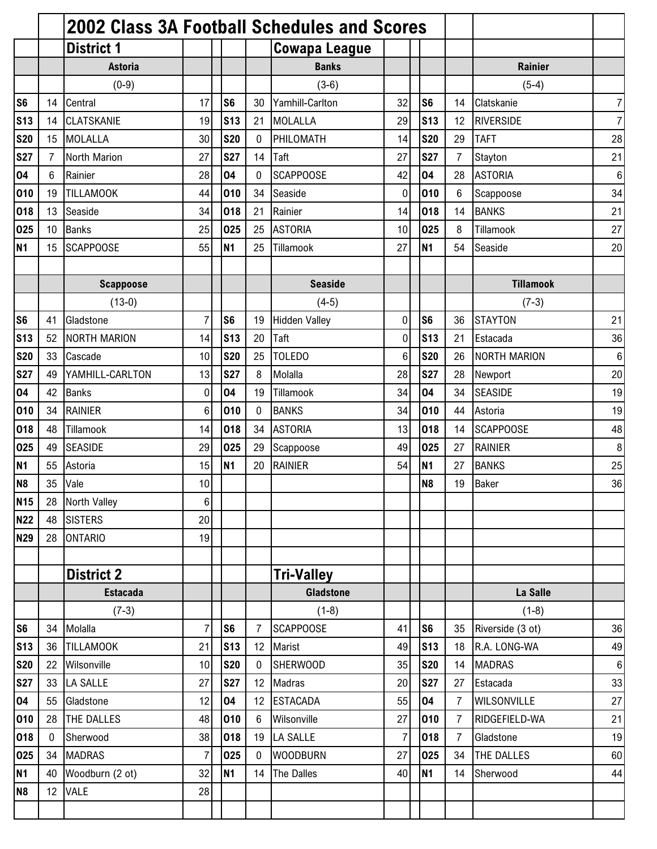|                 |                 | <b>2002 Class 3A Football Schedules and Scores</b> |                |                |                |                      |             |                |                |                     |                  |
|-----------------|-----------------|----------------------------------------------------|----------------|----------------|----------------|----------------------|-------------|----------------|----------------|---------------------|------------------|
|                 |                 | <b>District 1</b>                                  |                |                |                | <b>Cowapa League</b> |             |                |                |                     |                  |
|                 |                 | <b>Astoria</b>                                     |                |                |                | <b>Banks</b>         |             |                |                | <b>Rainier</b>      |                  |
|                 |                 | $(0-9)$                                            |                |                |                | $(3-6)$              |             |                |                | $(5-4)$             |                  |
| S <sub>6</sub>  | 14              | Central                                            | 17             | S <sub>6</sub> | 30             | Yamhill-Carlton      | 32          | S <sub>6</sub> | 14             | Clatskanie          | $\overline{7}$   |
| <b>S13</b>      | 14              | <b>CLATSKANIE</b>                                  | 19             | <b>S13</b>     | 21             | <b>MOLALLA</b>       | 29          | <b>S13</b>     | 12             | <b>RIVERSIDE</b>    | $\overline{7}$   |
| <b>S20</b>      | 15              | MOLALLA                                            | 30             | <b>S20</b>     | $\mathbf 0$    | PHILOMATH            | 14          | <b>S20</b>     | 29             | <b>TAFT</b>         | 28               |
| <b>S27</b>      | 7               | North Marion                                       | 27             | <b>S27</b>     | 14             | Taft                 | 27          | <b>S27</b>     | $\overline{7}$ | Stayton             | 21               |
| 04              | 6               | Rainier                                            | 28             | 04             | $\mathbf 0$    | <b>SCAPPOOSE</b>     | 42          | 04             | 28             | <b>ASTORIA</b>      | $\,6$            |
| 010             | 19              | <b>TILLAMOOK</b>                                   | 44             | 010            | 34             | Seaside              | 0           | 010            | 6              | Scappoose           | 34               |
| 018             | 13              | Seaside                                            | 34             | 018            | 21             | Rainier              | 14          | 018            | 14             | <b>BANKS</b>        | 21               |
| 025             | 10 <sup>°</sup> | <b>Banks</b>                                       | 25             | 025            | 25             | <b>ASTORIA</b>       | 10          | 025            | 8              | Tillamook           | 27               |
| N <sub>1</sub>  | 15              | <b>SCAPPOOSE</b>                                   | 55             | N <sub>1</sub> | 25             | Tillamook            | 27          | N <sub>1</sub> | 54             | Seaside             | 20               |
|                 |                 |                                                    |                |                |                |                      |             |                |                |                     |                  |
|                 |                 | <b>Scappoose</b>                                   |                |                |                | <b>Seaside</b>       |             |                |                | <b>Tillamook</b>    |                  |
|                 |                 | $(13-0)$                                           |                |                |                | $(4-5)$              |             |                |                | $(7-3)$             |                  |
| S <sub>6</sub>  | 41              | Gladstone                                          | $\overline{7}$ | S <sub>6</sub> | 19             | <b>Hidden Valley</b> | $\mathbf 0$ | S <sub>6</sub> | 36             | <b>STAYTON</b>      | 21               |
| S <sub>13</sub> | 52              | <b>NORTH MARION</b>                                | 14             | <b>S13</b>     | 20             | Taft                 | 0           | <b>S13</b>     | 21             | Estacada            | 36               |
| <b>S20</b>      | 33              | Cascade                                            | 10             | <b>S20</b>     | 25             | <b>TOLEDO</b>        | 6           | <b>S20</b>     | 26             | <b>NORTH MARION</b> | $\,6$            |
| <b>S27</b>      | 49              | YAMHILL-CARLTON                                    | 13             | <b>S27</b>     | 8              | Molalla              | 28          | <b>S27</b>     | 28             | Newport             | 20               |
| 04              | 42              | <b>Banks</b>                                       | 0              | 04             | 19             | Tillamook            | 34          | 04             | 34             | <b>SEASIDE</b>      | 19               |
| 010             | 34              | <b>RAINIER</b>                                     | 6              | 010            | 0              | <b>BANKS</b>         | 34          | 010            | 44             | Astoria             | 19               |
| 018             | 48              | Tillamook                                          | 14             | 018            | 34             | <b>ASTORIA</b>       | 13          | 018            | 14             | <b>SCAPPOOSE</b>    | 48               |
| 025             | 49              | <b>SEASIDE</b>                                     | 29             | 025            | 29             | Scappoose            | 49          | 025            | 27             | <b>RAINIER</b>      | 8                |
| N <sub>1</sub>  | 55              | Astoria                                            | 15             | <b>N1</b>      | 20             | <b>RAINIER</b>       | 54          | <b>N1</b>      | 27             | <b>BANKS</b>        | 25               |
| N <sub>8</sub>  | 35              | Vale                                               | 10             |                |                |                      |             | N <sub>8</sub> | 19             | <b>Baker</b>        | 36               |
| <b>N15</b>      | 28              | <b>North Valley</b>                                | 6              |                |                |                      |             |                |                |                     |                  |
| <b>N22</b>      | 48              | <b>SISTERS</b>                                     | 20             |                |                |                      |             |                |                |                     |                  |
| <b>N29</b>      | 28              | <b>ONTARIO</b>                                     | 19             |                |                |                      |             |                |                |                     |                  |
|                 |                 |                                                    |                |                |                |                      |             |                |                |                     |                  |
|                 |                 | <b>District 2</b>                                  |                |                |                | <b>Tri-Valley</b>    |             |                |                |                     |                  |
|                 |                 | <b>Estacada</b>                                    |                |                |                | <b>Gladstone</b>     |             |                |                | La Salle            |                  |
|                 |                 | $(7-3)$                                            |                |                |                | $(1-8)$              |             |                |                | $(1-8)$             |                  |
| S <sub>6</sub>  | 34              | Molalla                                            | $\overline{7}$ | S <sub>6</sub> | $\overline{7}$ | <b>SCAPPOOSE</b>     | 41          | S <sub>6</sub> | 35             | Riverside (3 ot)    | 36               |
| <b>S13</b>      | 36              | <b>TILLAMOOK</b>                                   | 21             | <b>S13</b>     | 12             | Marist               | 49          | <b>S13</b>     | 18             | R.A. LONG-WA        | 49               |
| <b>S20</b>      | 22              | Wilsonville                                        | 10             | <b>S20</b>     | $\mathbf 0$    | <b>SHERWOOD</b>      | 35          | <b>S20</b>     | 14             | <b>MADRAS</b>       | $\boldsymbol{6}$ |
| <b>S27</b>      | 33              | <b>LA SALLE</b>                                    | 27             | <b>S27</b>     | 12             | Madras               | 20          | <b>S27</b>     | 27             | Estacada            | 33               |
| 04              | 55              | Gladstone                                          | 12             | 04             | 12             | <b>ESTACADA</b>      | 55          | 04             | 7              | <b>WILSONVILLE</b>  | 27               |
| 010             | 28              | THE DALLES                                         | 48             | 010            | 6              | Wilsonville          | 27          | 010            | $\overline{7}$ | RIDGEFIELD-WA       | 21               |
| 018             | 0               | Sherwood                                           | 38             | 018            | 19             | LA SALLE             | 7           | 018            | 7              | Gladstone           | 19               |
| 025             | 34              | <b>MADRAS</b>                                      | $\overline{7}$ | 025            | $\mathbf 0$    | <b>WOODBURN</b>      | 27          | 025            | 34             | THE DALLES          | 60               |
| <b>N1</b>       | 40              | Woodburn (2 ot)                                    | 32             | <b>N1</b>      | 14             | <b>The Dalles</b>    | 40          | <b>N1</b>      | 14             | Sherwood            | 44               |
| N <sub>8</sub>  | 12              | <b>VALE</b>                                        | 28             |                |                |                      |             |                |                |                     |                  |
|                 |                 |                                                    |                |                |                |                      |             |                |                |                     |                  |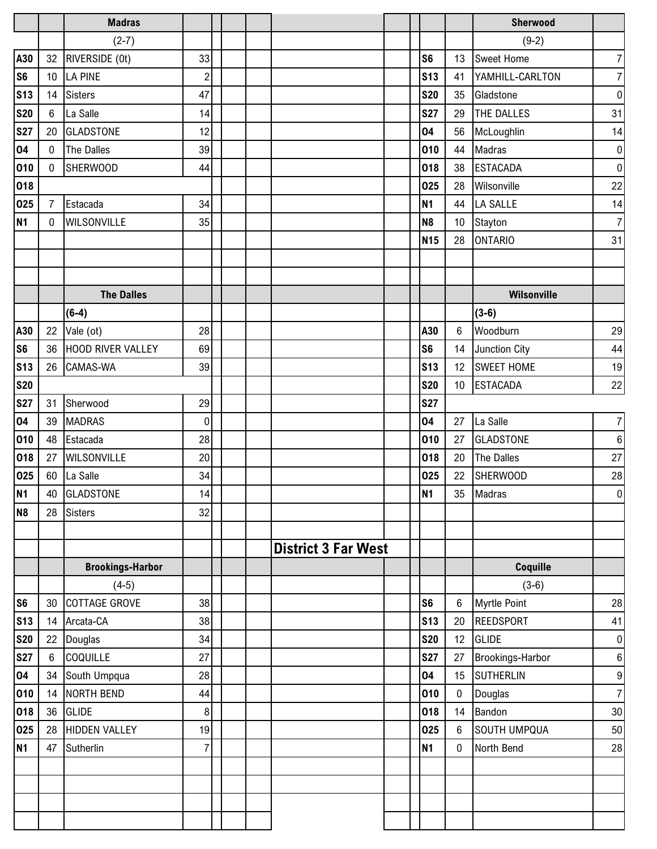|                |                | <b>Madras</b>           |                |  |                            |  |                |                  | Sherwood            |                  |
|----------------|----------------|-------------------------|----------------|--|----------------------------|--|----------------|------------------|---------------------|------------------|
|                |                | $(2-7)$                 |                |  |                            |  |                |                  | $(9-2)$             |                  |
| A30            | 32             | RIVERSIDE (0t)          | 33             |  |                            |  | S <sub>6</sub> | 13               | Sweet Home          | $\boldsymbol{7}$ |
| S <sub>6</sub> |                | 10 LA PINE              | $\overline{c}$ |  |                            |  | <b>S13</b>     | 41               | YAMHILL-CARLTON     | $\overline{7}$   |
| <b>S13</b>     |                | 14 Sisters              | 47             |  |                            |  | <b>S20</b>     | 35               | Gladstone           | $\boldsymbol{0}$ |
| <b>S20</b>     | 6              | La Salle                | 14             |  |                            |  | <b>S27</b>     | 29               | <b>THE DALLES</b>   | 31               |
| <b>S27</b>     | 20             | <b>GLADSTONE</b>        | 12             |  |                            |  | 04             | 56               | McLoughlin          | 14               |
| 04             | $\mathbf 0$    | The Dalles              | 39             |  |                            |  | 010            | 44               | Madras              | $\pmb{0}$        |
| 010            | $\mathbf 0$    | <b>SHERWOOD</b>         | 44             |  |                            |  | 018            | 38               | <b>ESTACADA</b>     | $\boldsymbol{0}$ |
| 018            |                |                         |                |  |                            |  | 025            | 28               | Wilsonville         | 22               |
| 025            | $\overline{7}$ | Estacada                | 34             |  |                            |  | <b>N1</b>      | 44               | <b>LA SALLE</b>     | 14               |
| <b>N1</b>      | $\mathbf{0}$   | WILSONVILLE             | 35             |  |                            |  | N <sub>8</sub> | 10               | Stayton             | $\overline{7}$   |
|                |                |                         |                |  |                            |  | <b>N15</b>     | 28               | <b>ONTARIO</b>      | 31               |
|                |                |                         |                |  |                            |  |                |                  |                     |                  |
|                |                |                         |                |  |                            |  |                |                  |                     |                  |
|                |                | <b>The Dalles</b>       |                |  |                            |  |                |                  | Wilsonville         |                  |
|                |                | $(6-4)$                 |                |  |                            |  |                |                  | $(3-6)$             |                  |
| A30            |                | 22 Vale (ot)            | 28             |  |                            |  | A30            | $6\phantom{1}$   | Woodburn            | 29               |
| S <sub>6</sub> |                | 36 HOOD RIVER VALLEY    | 69             |  |                            |  | S <sub>6</sub> | 14               | Junction City       | 44               |
| <b>S13</b>     |                | 26 CAMAS-WA             | 39             |  |                            |  | <b>S13</b>     | 12               | <b>SWEET HOME</b>   | $19$             |
| <b>S20</b>     |                |                         |                |  |                            |  | <b>S20</b>     | 10 <sup>°</sup>  | <b>ESTACADA</b>     | $22\,$           |
| <b>S27</b>     | 31             | Sherwood                | 29             |  |                            |  | <b>S27</b>     |                  |                     |                  |
| 04             | 39             | <b>MADRAS</b>           | $\mathbf 0$    |  |                            |  | 04             | 27               | La Salle            | $\boldsymbol{7}$ |
| 010            | 48             | Estacada                | 28             |  |                            |  | 010            | 27               | <b>GLADSTONE</b>    | $\,6\,$          |
| 018            | 27             | <b>WILSONVILLE</b>      | 20             |  |                            |  | 018            | 20               | The Dalles          | 27               |
| 025            |                | 60 La Salle             | 34             |  |                            |  | 025            |                  | 22 SHERWOOD         | ${\bf 28}$       |
| <b>N1</b>      |                | 40 GLADSTONE            | 14             |  |                            |  | <b>N1</b>      |                  | 35 Madras           | $\overline{0}$   |
| N <sub>8</sub> | 28             | <b>Sisters</b>          | 32             |  |                            |  |                |                  |                     |                  |
|                |                |                         |                |  |                            |  |                |                  |                     |                  |
|                |                |                         |                |  | <b>District 3 Far West</b> |  |                |                  |                     |                  |
|                |                | <b>Brookings-Harbor</b> |                |  |                            |  |                |                  | Coquille            |                  |
|                |                | $(4-5)$                 |                |  |                            |  |                |                  | $(3-6)$             |                  |
| S <sub>6</sub> | 30             | <b>COTTAGE GROVE</b>    | 38             |  |                            |  | S <sub>6</sub> | $\,6$            | <b>Myrtle Point</b> | $28\,$           |
| <b>S13</b>     | 14             | Arcata-CA               | 38             |  |                            |  | <b>S13</b>     | 20               | <b>REEDSPORT</b>    | 41               |
| <b>S20</b>     | 22             | Douglas                 | 34             |  |                            |  | <b>S20</b>     | 12               | <b>GLIDE</b>        | $\boldsymbol{0}$ |
| <b>S27</b>     | $6\phantom{1}$ | COQUILLE                | 27             |  |                            |  | <b>S27</b>     | 27               | Brookings-Harbor    | $\,6\,$          |
| 04             | 34             | South Umpqua            | 28             |  |                            |  | 04             | 15               | SUTHERLIN           | 9                |
| 010            | 14             | NORTH BEND              | 44             |  |                            |  | 010            | 0                | Douglas             | $\overline{7}$   |
| 018            | 36             | <b>GLIDE</b>            | 8              |  |                            |  | 018            | 14               | Bandon              | 30               |
| 025            | 28             | <b>HIDDEN VALLEY</b>    | 19             |  |                            |  | 025            | 6                | <b>SOUTH UMPQUA</b> | 50               |
| <b>N1</b>      | 47             | Sutherlin               | $\overline{7}$ |  |                            |  | N1             | $\boldsymbol{0}$ | North Bend          | 28               |
|                |                |                         |                |  |                            |  |                |                  |                     |                  |
|                |                |                         |                |  |                            |  |                |                  |                     |                  |
|                |                |                         |                |  |                            |  |                |                  |                     |                  |
|                |                |                         |                |  |                            |  |                |                  |                     |                  |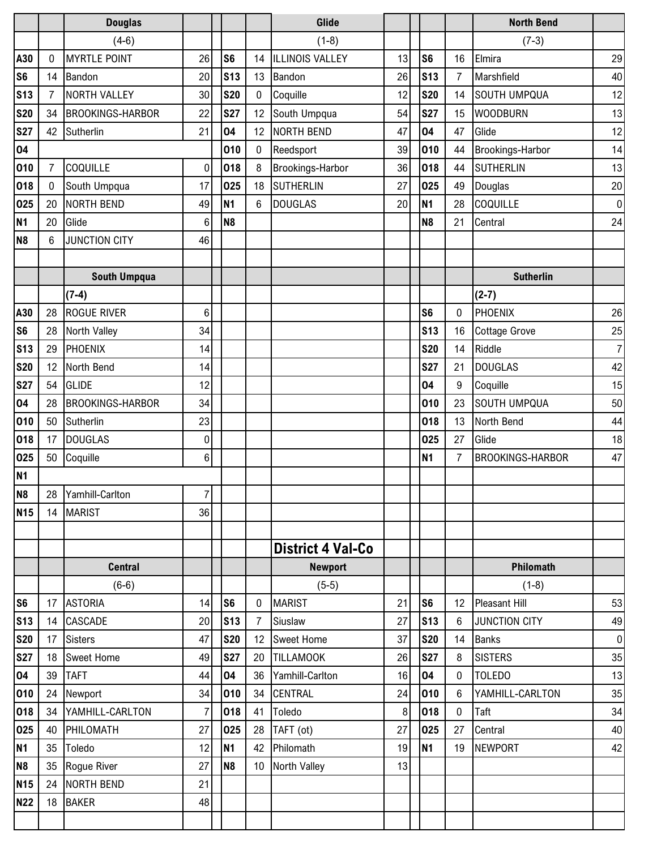|                 |                | <b>Douglas</b>          |                |                |                | Glide                    |                  |                |                | <b>North Bend</b>       |                |
|-----------------|----------------|-------------------------|----------------|----------------|----------------|--------------------------|------------------|----------------|----------------|-------------------------|----------------|
|                 |                | $(4-6)$                 |                |                |                | $(1-8)$                  |                  |                |                | $(7-3)$                 |                |
| A30             | 0              | <b>MYRTLE POINT</b>     | 26             | S <sub>6</sub> | 14             | ILLINOIS VALLEY          | 13               | S <sub>6</sub> | 16             | Elmira                  | 29             |
| S <sub>6</sub>  | 14             | Bandon                  | 20             | <b>S13</b>     | 13             | Bandon                   | 26               | <b>S13</b>     | $\overline{7}$ | Marshfield              | 40             |
| <b>S13</b>      | 7              | <b>NORTH VALLEY</b>     | 30             | <b>S20</b>     | $\mathbf 0$    | Coquille                 | 12               | <b>S20</b>     | 14             | <b>SOUTH UMPQUA</b>     | 12             |
| <b>S20</b>      |                | 34 BROOKINGS-HARBOR     | 22             | <b>S27</b>     | 12             | South Umpqua             | 54               | <b>S27</b>     | 15             | <b>WOODBURN</b>         | 13             |
| <b>S27</b>      | 42             | Sutherlin               | 21             | 04             | 12             | <b>NORTH BEND</b>        | 47               | 04             | 47             | Glide                   | 12             |
| 04              |                |                         |                | 010            | 0              | Reedsport                | 39               | 010            | 44             | Brookings-Harbor        | 14             |
| 010             | $\overline{7}$ | <b>COQUILLE</b>         | 0              | 018            | 8              | Brookings-Harbor         | 36               | 018            | 44             | <b>SUTHERLIN</b>        | 13             |
| 018             | 0              | South Umpqua            | 17             | 025            | 18             | <b>SUTHERLIN</b>         | 27               | 025            | 49             | Douglas                 | 20             |
| 025             | 20             | <b>NORTH BEND</b>       | 49             | <b>N1</b>      | 6              | <b>DOUGLAS</b>           | 20               | <b>N1</b>      | 28             | COQUILLE                | $\pmb{0}$      |
| <b>N1</b>       | 20             | Glide                   | 6              | N <sub>8</sub> |                |                          |                  | N <sub>8</sub> | 21             | Central                 | 24             |
| N <sub>8</sub>  | 6              | <b>JUNCTION CITY</b>    | 46             |                |                |                          |                  |                |                |                         |                |
|                 |                |                         |                |                |                |                          |                  |                |                |                         |                |
|                 |                | <b>South Umpqua</b>     |                |                |                |                          |                  |                |                | <b>Sutherlin</b>        |                |
|                 |                | $(7-4)$                 |                |                |                |                          |                  |                |                | $(2-7)$                 |                |
| A30             | 28             | <b>ROGUE RIVER</b>      | 6              |                |                |                          |                  | S <sub>6</sub> | 0              | PHOENIX                 | 26             |
| S <sub>6</sub>  | 28             | North Valley            | 34             |                |                |                          |                  | <b>S13</b>     | 16             | <b>Cottage Grove</b>    | 25             |
| S <sub>13</sub> | 29             | PHOENIX                 | 14             |                |                |                          |                  | <b>S20</b>     | 14             | Riddle                  | $\overline{7}$ |
| <b>S20</b>      | 12             | North Bend              | 14             |                |                |                          |                  | <b>S27</b>     | 21             | <b>DOUGLAS</b>          | 42             |
| <b>S27</b>      | 54             | <b>GLIDE</b>            | 12             |                |                |                          |                  | 04             | 9              | Coquille                | 15             |
| 04              | 28             | <b>BROOKINGS-HARBOR</b> | 34             |                |                |                          |                  | 010            | 23             | <b>SOUTH UMPQUA</b>     | 50             |
| 010             | 50             | Sutherlin               | 23             |                |                |                          |                  | 018            | 13             | North Bend              | 44             |
| 018             | 17             | <b>DOUGLAS</b>          | 0              |                |                |                          |                  | 025            | 27             | Glide                   | 18             |
| 025             |                | 50 Coquille             | 6              |                |                |                          |                  | <b>N1</b>      | $\overline{7}$ | <b>BROOKINGS-HARBOR</b> | 47             |
| <b>N1</b>       |                |                         |                |                |                |                          |                  |                |                |                         |                |
| N <sub>8</sub>  |                | 28 Yamhill-Carlton      | 7 <sup>1</sup> |                |                |                          |                  |                |                |                         |                |
| <b>N15</b>      |                | 14 MARIST               | 36             |                |                |                          |                  |                |                |                         |                |
|                 |                |                         |                |                |                |                          |                  |                |                |                         |                |
|                 |                |                         |                |                |                | <b>District 4 Val-Co</b> |                  |                |                |                         |                |
|                 |                | <b>Central</b>          |                |                |                | <b>Newport</b>           |                  |                |                | Philomath               |                |
|                 |                | $(6-6)$                 |                |                |                | $(5-5)$                  |                  |                |                | $(1-8)$                 |                |
| S <sub>6</sub>  | 17             | <b>ASTORIA</b>          | 14             | S <sub>6</sub> | $\mathbf 0$    | <b>MARIST</b>            | 21               | S <sub>6</sub> | 12             | <b>Pleasant Hill</b>    | 53             |
| <b>S13</b>      |                | 14 CASCADE              | 20             | <b>S13</b>     | $\overline{7}$ | Siuslaw                  | 27               | <b>S13</b>     | 6              | <b>JUNCTION CITY</b>    | 49             |
| <b>S20</b>      | 17             | <b>Sisters</b>          | 47             | <b>S20</b>     | 12             | <b>Sweet Home</b>        | 37               | <b>S20</b>     | 14             | <b>Banks</b>            | $\overline{0}$ |
| <b>S27</b>      | 18             | <b>Sweet Home</b>       | 49             | <b>S27</b>     | 20             | <b>TILLAMOOK</b>         | 26               | <b>S27</b>     | 8              | <b>SISTERS</b>          | 35             |
| 04              | 39             | <b>TAFT</b>             | 44             | 04             | 36             | Yamhill-Carlton          | 16               | 04             | 0              | <b>TOLEDO</b>           | 13             |
| 010             | 24             | Newport                 | 34             | 010            | 34             | <b>CENTRAL</b>           | 24               | 010            | 6              | YAMHILL-CARLTON         | 35             |
| 018             |                | 34 YAMHILL-CARLTON      | 7              | 018            | 41             | Toledo                   | $\boldsymbol{8}$ | 018            | 0              | Taft                    | 34             |
| 025             | 40             | PHILOMATH               | 27             | 025            | 28             | TAFT (ot)                | 27               | 025            | 27             | Central                 | 40             |
| <b>N1</b>       | 35             | Toledo                  | 12             | <b>N1</b>      | 42             | Philomath                | 19               | <b>N1</b>      | 19             | <b>NEWPORT</b>          | 42             |
| N <sub>8</sub>  | 35             | Rogue River             | 27             | N <sub>8</sub> | 10             | North Valley             | 13               |                |                |                         |                |
| <b>N15</b>      | 24             | NORTH BEND              | 21             |                |                |                          |                  |                |                |                         |                |
| <b>N22</b>      | 18             | <b>BAKER</b>            | 48             |                |                |                          |                  |                |                |                         |                |
|                 |                |                         |                |                |                |                          |                  |                |                |                         |                |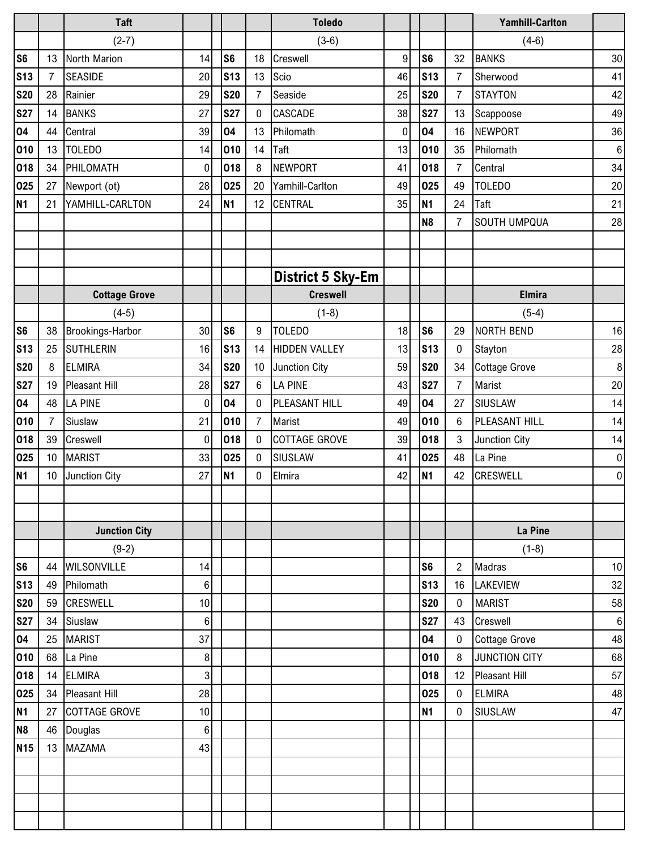|                 |                 | <b>Taft</b>             |                  |                |                 | <b>Toledo</b>            |    |                |                  | <b>Yamhill-Carlton</b> |                 |
|-----------------|-----------------|-------------------------|------------------|----------------|-----------------|--------------------------|----|----------------|------------------|------------------------|-----------------|
|                 |                 | $(2-7)$                 |                  |                |                 | $(3-6)$                  |    |                |                  | $(4-6)$                |                 |
| S <sub>6</sub>  | 13              | North Marion            | 14               | S <sub>6</sub> | 18              | Creswell                 | 9  | S <sub>6</sub> | 32               | <b>BANKS</b>           | 30              |
| <b>S13</b>      | $\overline{7}$  | <b>SEASIDE</b>          | 20               | <b>S13</b>     | 13              | Scio                     | 46 | <b>S13</b>     | $\overline{7}$   | Sherwood               | 41              |
| <b>S20</b>      | 28              | Rainier                 | 29               | <b>S20</b>     | $\overline{7}$  | Seaside                  | 25 | <b>S20</b>     | $\overline{7}$   | <b>STAYTON</b>         | 42              |
| <b>S27</b>      | 14              | <b>BANKS</b>            | 27               | <b>S27</b>     | $\mathbf 0$     | <b>CASCADE</b>           | 38 | <b>S27</b>     | 13               | Scappoose              | 49              |
| 04              | 44              | Central                 | 39               | 04             | 13              | Philomath                | 0  | 04             | 16               | <b>NEWPORT</b>         | 36              |
| 010             | 13              | <b>TOLEDO</b>           | 14               | 010            | 14              | Taft                     | 13 | 010            | 35               | Philomath              | 6               |
| 018             | 34              | PHILOMATH               | $\boldsymbol{0}$ | 018            | 8               | <b>NEWPORT</b>           | 41 | 018            | $\overline{7}$   | Central                | 34              |
| 025             | 27              | Newport (ot)            | 28               | 025            | 20              | Yamhill-Carlton          | 49 | 025            | 49               | <b>TOLEDO</b>          | 20              |
| <b>N1</b>       | 21              | YAMHILL-CARLTON         | 24               | <b>N1</b>      | 12              | <b>CENTRAL</b>           | 35 | N1             | 24               | Taft                   | 21              |
|                 |                 |                         |                  |                |                 |                          |    | N <sub>8</sub> | $\overline{7}$   | <b>SOUTH UMPQUA</b>    | 28              |
|                 |                 |                         |                  |                |                 |                          |    |                |                  |                        |                 |
|                 |                 |                         |                  |                |                 |                          |    |                |                  |                        |                 |
|                 |                 |                         |                  |                |                 | <b>District 5 Sky-Em</b> |    |                |                  |                        |                 |
|                 |                 | <b>Cottage Grove</b>    |                  |                |                 | <b>Creswell</b>          |    |                |                  | <b>Elmira</b>          |                 |
|                 |                 | $(4-5)$                 |                  |                |                 | $(1-8)$                  |    |                |                  | $(5-4)$                |                 |
| S <sub>6</sub>  | 38              | <b>Brookings-Harbor</b> | 30               | S <sub>6</sub> | 9               | <b>TOLEDO</b>            | 18 | S <sub>6</sub> | 29               | <b>NORTH BEND</b>      | 16              |
| <b>S13</b>      | 25              | <b>SUTHLERIN</b>        | 16               | <b>S13</b>     | 14              | <b>HIDDEN VALLEY</b>     | 13 | <b>S13</b>     | $\boldsymbol{0}$ | Stayton                | 28              |
| <b>S20</b>      | 8               | <b>ELMIRA</b>           | 34               | <b>S20</b>     | 10 <sup>°</sup> | <b>Junction City</b>     | 59 | <b>S20</b>     | 34               | <b>Cottage Grove</b>   | 8               |
| <b>S27</b>      | 19              | <b>Pleasant Hill</b>    | 28               | <b>S27</b>     | 6               | <b>LA PINE</b>           | 43 | <b>S27</b>     | $\overline{7}$   | Marist                 | 20              |
| 04              | 48              | <b>LA PINE</b>          | 0                | 04             | $\mathbf 0$     | PLEASANT HILL            | 49 | 04             | 27               | SIUSLAW                | 14              |
| 010             | $\overline{7}$  | Siuslaw                 | 21               | 010            | $\overline{7}$  | Marist                   | 49 | 010            | 6                | PLEASANT HILL          | 14              |
| 018             | 39              | Creswell                | 0                | 018            | $\mathbf 0$     | <b>COTTAGE GROVE</b>     | 39 | 018            | 3                | Junction City          | 14              |
| 025             | 10 <sup>°</sup> | <b>MARIST</b>           | 33               | 025            | $\mathbf 0$     | SIUSLAW                  | 41 | 025            | 48               | La Pine                | 0               |
| <b>N1</b>       | 10 <sup>1</sup> | Junction City           | 27               | <b>N1</b>      | 0               | Elmira                   | 42 | N1             | 42               | <b>CRESWELL</b>        | 0               |
|                 |                 |                         |                  |                |                 |                          |    |                |                  |                        |                 |
|                 |                 |                         |                  |                |                 |                          |    |                |                  |                        |                 |
|                 |                 | <b>Junction City</b>    |                  |                |                 |                          |    |                |                  | La Pine                |                 |
|                 |                 | $(9-2)$                 |                  |                |                 |                          |    |                |                  | $(1-8)$                |                 |
| S <sub>6</sub>  | 44              | <b>WILSONVILLE</b>      | 14               |                |                 |                          |    | S <sub>6</sub> | $\overline{2}$   | Madras                 | 10 <sup>1</sup> |
| <b>S13</b>      | 49              | Philomath               | $\,6\,$          |                |                 |                          |    | <b>S13</b>     | 16               | LAKEVIEW               | 32              |
| <b>S20</b>      | 59              | <b>CRESWELL</b>         | 10               |                |                 |                          |    | <b>S20</b>     | 0                | <b>MARIST</b>          | 58              |
| <b>S27</b>      |                 | 34 Siuslaw              | $\,6$            |                |                 |                          |    | <b>S27</b>     | 43               | Creswell               | 6               |
| 04              | 25              | <b>MARIST</b>           | 37               |                |                 |                          |    | 04             | $\boldsymbol{0}$ | <b>Cottage Grove</b>   | 48              |
| 010             | 68              | La Pine                 | 8                |                |                 |                          |    | 010            | 8                | JUNCTION CITY          | 68              |
| 018             |                 | 14 ELMIRA               | $\sqrt{3}$       |                |                 |                          |    | 018            | 12               | <b>Pleasant Hill</b>   | 57              |
| 025             |                 | 34 Pleasant Hill        | 28               |                |                 |                          |    | 025            | 0                | <b>ELMIRA</b>          | 48              |
| N <sub>1</sub>  | 27              | COTTAGE GROVE           | 10               |                |                 |                          |    | N1             | $\boldsymbol{0}$ | SIUSLAW                | 47              |
| N <sub>8</sub>  | 46              | Douglas                 | 6                |                |                 |                          |    |                |                  |                        |                 |
| N <sub>15</sub> | 13              | <b>MAZAMA</b>           | 43               |                |                 |                          |    |                |                  |                        |                 |
|                 |                 |                         |                  |                |                 |                          |    |                |                  |                        |                 |
|                 |                 |                         |                  |                |                 |                          |    |                |                  |                        |                 |
|                 |                 |                         |                  |                |                 |                          |    |                |                  |                        |                 |
|                 |                 |                         |                  |                |                 |                          |    |                |                  |                        |                 |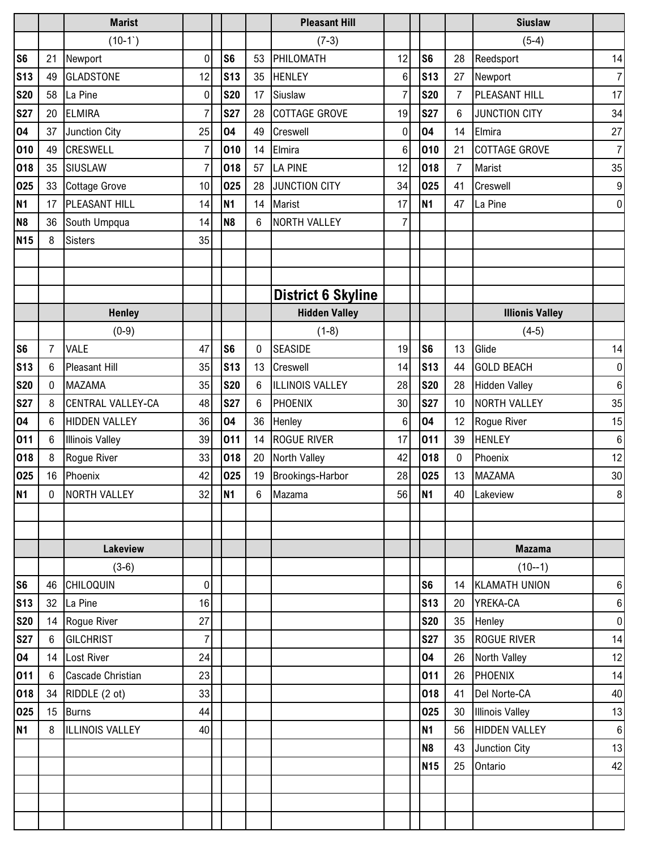|                |                | <b>Marist</b>            |                 |                |                | <b>Pleasant Hill</b>      |              |                |                  | <b>Siuslaw</b>         |                  |
|----------------|----------------|--------------------------|-----------------|----------------|----------------|---------------------------|--------------|----------------|------------------|------------------------|------------------|
|                |                | $(10-1)$                 |                 |                |                | $(7-3)$                   |              |                |                  | $(5-4)$                |                  |
| S <sub>6</sub> | 21             | Newport                  | 0               | S <sub>6</sub> | 53             | PHILOMATH                 | 12           | S <sub>6</sub> | 28               | Reedsport              | 14               |
| <b>S13</b>     | 49             | <b>GLADSTONE</b>         | 12              | <b>S13</b>     | 35             | <b>HENLEY</b>             | 6            | <b>S13</b>     | 27               | Newport                | $\overline{7}$   |
| <b>S20</b>     | 58             | La Pine                  | 0               | <b>S20</b>     | 17             | Siuslaw                   | 7            | <b>S20</b>     | $\overline{7}$   | PLEASANT HILL          | 17               |
| <b>S27</b>     | 20             | <b>ELMIRA</b>            | 7               | <b>S27</b>     | 28             | COTTAGE GROVE             | 19           | <b>S27</b>     | 6                | <b>JUNCTION CITY</b>   | 34               |
| 04             | 37             | Junction City            | 25              | 04             | 49             | Creswell                  | $\mathbf{0}$ | 04             | 14               | Elmira                 | 27               |
| 010            | 49             | <b>CRESWELL</b>          | $\overline{7}$  | 010            | 14             | Elmira                    | 6            | 010            | 21               | <b>COTTAGE GROVE</b>   | $\overline{7}$   |
| 018            | 35             | SIUSLAW                  | $\overline{7}$  | 018            | 57             | <b>LA PINE</b>            | 12           | 018            | $\overline{7}$   | <b>Marist</b>          | 35               |
| 025            | 33             | <b>Cottage Grove</b>     | 10              | 025            | 28             | <b>JUNCTION CITY</b>      | 34           | 025            | 41               | Creswell               | $\boldsymbol{9}$ |
| N <sub>1</sub> | 17             | PLEASANT HILL            | 14              | N <sub>1</sub> | 14             | Marist                    | 17           | <b>N1</b>      | 47               | La Pine                | $\overline{0}$   |
| N <sub>8</sub> | 36             | South Umpqua             | 14              | N <sub>8</sub> | 6              | <b>NORTH VALLEY</b>       | 7            |                |                  |                        |                  |
| <b>N15</b>     | 8              | <b>Sisters</b>           | 35              |                |                |                           |              |                |                  |                        |                  |
|                |                |                          |                 |                |                |                           |              |                |                  |                        |                  |
|                |                |                          |                 |                |                |                           |              |                |                  |                        |                  |
|                |                |                          |                 |                |                | <b>District 6 Skyline</b> |              |                |                  |                        |                  |
|                |                | <b>Henley</b>            |                 |                |                | <b>Hidden Valley</b>      |              |                |                  | <b>Illionis Valley</b> |                  |
|                |                | $(0-9)$                  |                 |                |                | $(1-8)$                   |              |                |                  | $(4-5)$                |                  |
| S <sub>6</sub> | $\overline{7}$ | <b>VALE</b>              | 47              | S <sub>6</sub> | 0              | <b>SEASIDE</b>            | 19           | S <sub>6</sub> | 13               | Glide                  | 14               |
| <b>S13</b>     | 6              | <b>Pleasant Hill</b>     | 35              | <b>S13</b>     | 13             | Creswell                  | 14           | <b>S13</b>     | 44               | <b>GOLD BEACH</b>      | $\boldsymbol{0}$ |
| <b>S20</b>     | 0              | <b>MAZAMA</b>            | 35              | <b>S20</b>     | 6              | ILLINOIS VALLEY           | 28           | <b>S20</b>     | 28               | <b>Hidden Valley</b>   | 6                |
| <b>S27</b>     | 8              | <b>CENTRAL VALLEY-CA</b> | 48              | <b>S27</b>     | 6              | PHOENIX                   | 30           | <b>S27</b>     | 10               | <b>NORTH VALLEY</b>    | 35               |
| 04             | 6              | <b>HIDDEN VALLEY</b>     | 36              | 04             | 36             | Henley                    | 6            | 04             | 12               | Rogue River            | 15               |
| 011            | 6              | <b>Illinois Valley</b>   | 39              | 011            | 14             | <b>ROGUE RIVER</b>        | 17           | 011            | 39               | <b>HENLEY</b>          | 6                |
| 018            | 8              | Rogue River              | 33              | 018            | 20             | North Valley              | 42           | 018            | $\boldsymbol{0}$ | Phoenix                | 12               |
| 025            | 16             | Phoenix                  | 42              | 025            | 19             | Brookings-Harbor          | 28           | 025            | 13               | <b>MAZAMA</b>          | $30\,$           |
| <b>N1</b>      | 0              | NORTH VALLEY             | 32 <sub>l</sub> | N <sub>1</sub> | 6 <sup>1</sup> | Mazama                    | 56           | <b>N1</b>      | 40               | Lakeview               | 8 <sup>1</sup>   |
|                |                |                          |                 |                |                |                           |              |                |                  |                        |                  |
|                |                |                          |                 |                |                |                           |              |                |                  |                        |                  |
|                |                | <b>Lakeview</b>          |                 |                |                |                           |              |                |                  | <b>Mazama</b>          |                  |
|                |                | $(3-6)$                  |                 |                |                |                           |              |                |                  | $(10 - -1)$            |                  |
| S <sub>6</sub> |                | 46 CHILOQUIN             | 0               |                |                |                           |              | S <sub>6</sub> |                  | 14 KLAMATH UNION       | 6 <sup>1</sup>   |
| <b>S13</b>     |                | 32 La Pine               | 16              |                |                |                           |              | <b>S13</b>     | 20               | YREKA-CA               | 6 <sup>1</sup>   |
| <b>S20</b>     |                | 14 Rogue River           | 27              |                |                |                           |              | <b>S20</b>     | 35               | Henley                 | $\overline{0}$   |
| <b>S27</b>     | 6 <sup>1</sup> | <b>GILCHRIST</b>         | $\overline{7}$  |                |                |                           |              | <b>S27</b>     | 35               | <b>ROGUE RIVER</b>     | 14               |
| 04             |                | 14 Lost River            | 24              |                |                |                           |              | 04             | 26               | <b>North Valley</b>    | 12               |
| 011            | 6              | Cascade Christian        | 23              |                |                |                           |              | 011            | 26               | PHOENIX                | 14               |
| 018            |                | 34 RIDDLE (2 ot)         | 33              |                |                |                           |              | 018            | 41               | Del Norte-CA           | 40               |
| 025            |                | 15 Burns                 | 44              |                |                |                           |              | 025            | 30               | <b>Illinois Valley</b> | 13               |
| <b>N1</b>      | 8              | <b>ILLINOIS VALLEY</b>   | 40              |                |                |                           |              | <b>N1</b>      | 56               | <b>HIDDEN VALLEY</b>   | 6 <sup>1</sup>   |
|                |                |                          |                 |                |                |                           |              | N <sub>8</sub> | 43               | Junction City          | 13               |
|                |                |                          |                 |                |                |                           |              | <b>N15</b>     | 25               | Ontario                | 42               |
|                |                |                          |                 |                |                |                           |              |                |                  |                        |                  |
|                |                |                          |                 |                |                |                           |              |                |                  |                        |                  |
|                |                |                          |                 |                |                |                           |              |                |                  |                        |                  |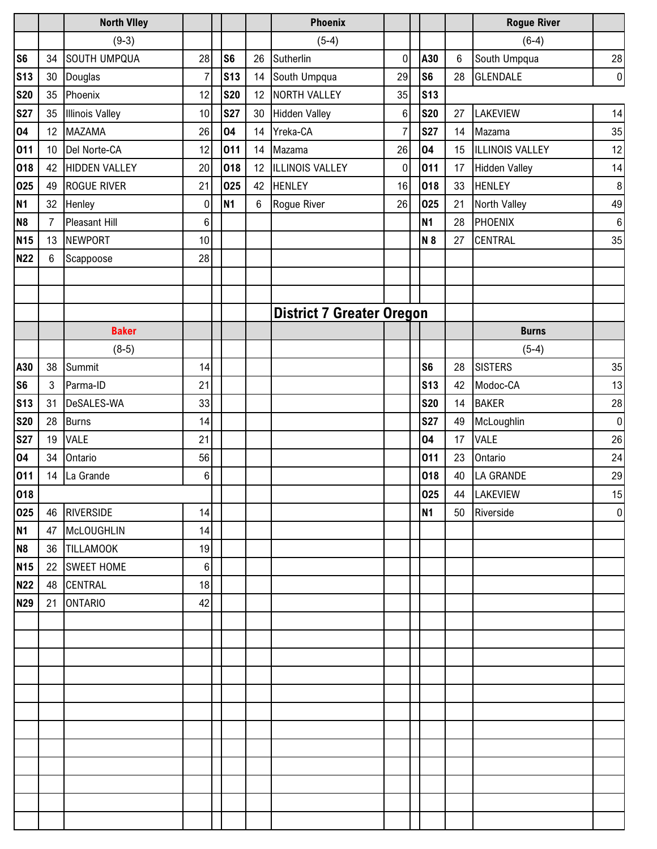|                |                 | <b>North Viley</b>     |                 |                |    | <b>Phoenix</b>                   |                |                |                | <b>Rogue River</b>     |                  |
|----------------|-----------------|------------------------|-----------------|----------------|----|----------------------------------|----------------|----------------|----------------|------------------------|------------------|
|                |                 | $(9-3)$                |                 |                |    | $(5-4)$                          |                |                |                | $(6-4)$                |                  |
| S <sub>6</sub> | 34              | <b>SOUTH UMPQUA</b>    | 28              | S <sub>6</sub> | 26 | Sutherlin                        | $\mathbf 0$    | A30            | $6\phantom{1}$ | South Umpqua           | $28\,$           |
| <b>S13</b>     | 30              | Douglas                | $\overline{7}$  | <b>S13</b>     | 14 | South Umpqua                     | 29             | S <sub>6</sub> | 28             | <b>GLENDALE</b>        | $\overline{0}$   |
| <b>S20</b>     | 35              | Phoenix                | 12              | <b>S20</b>     | 12 | <b>NORTH VALLEY</b>              | 35             | <b>S13</b>     |                |                        |                  |
| <b>S27</b>     | 35              | <b>Illinois Valley</b> | 10              | <b>S27</b>     | 30 | <b>Hidden Valley</b>             | $6\phantom{.}$ | <b>S20</b>     | 27             | LAKEVIEW               | 14               |
| 04             | 12              | <b>MAZAMA</b>          | 26              | 04             | 14 | Yreka-CA                         | $\overline{7}$ | <b>S27</b>     | 14             | Mazama                 | 35               |
| 011            | 10 <sup>°</sup> | Del Norte-CA           | 12              | 011            | 14 | Mazama                           | 26             | 04             | 15             | <b>ILLINOIS VALLEY</b> | 12               |
| 018            | 42              | <b>HIDDEN VALLEY</b>   | 20              | 018            | 12 | ILLINOIS VALLEY                  | $\mathbf 0$    | 011            | 17             | <b>Hidden Valley</b>   | 14               |
| 025            | 49              | <b>ROGUE RIVER</b>     | 21              | 025            | 42 | <b>HENLEY</b>                    | 16             | 018            | 33             | <b>HENLEY</b>          | $\, 8$           |
| N <sub>1</sub> | 32              | Henley                 | $\mathbf 0$     | <b>N1</b>      | 6  | Rogue River                      | 26             | 025            | 21             | North Valley           | 49               |
| N <sub>8</sub> | $\overline{7}$  | <b>Pleasant Hill</b>   | $\,6$           |                |    |                                  |                | N1             | 28             | PHOENIX                | $\,6\,$          |
| <b>N15</b>     |                 | 13 NEWPORT             | 10              |                |    |                                  |                | N 8            | 27             | <b>CENTRAL</b>         | 35               |
| <b>N22</b>     | 6               | Scappoose              | 28              |                |    |                                  |                |                |                |                        |                  |
|                |                 |                        |                 |                |    |                                  |                |                |                |                        |                  |
|                |                 |                        |                 |                |    |                                  |                |                |                |                        |                  |
|                |                 |                        |                 |                |    | <b>District 7 Greater Oregon</b> |                |                |                |                        |                  |
|                |                 | <b>Baker</b>           |                 |                |    |                                  |                |                |                | <b>Burns</b>           |                  |
|                |                 | $(8-5)$                |                 |                |    |                                  |                |                |                | $(5-4)$                |                  |
| A30            | 38              | Summit                 | 14              |                |    |                                  |                | S <sub>6</sub> | 28             | <b>SISTERS</b>         | 35               |
| S <sub>6</sub> | 3               | Parma-ID               | 21              |                |    |                                  |                | <b>S13</b>     | 42             | Modoc-CA               | 13               |
| <b>S13</b>     | 31              | DeSALES-WA             | 33              |                |    |                                  |                | <b>S20</b>     | 14             | <b>BAKER</b>           | $28\,$           |
| <b>S20</b>     | 28              | <b>Burns</b>           | 14              |                |    |                                  |                | <b>S27</b>     | 49             | McLoughlin             | $\boldsymbol{0}$ |
| <b>S27</b>     | 19              | <b>VALE</b>            | 21              |                |    |                                  |                | 04             | 17             | <b>VALE</b>            | 26               |
| 04             | 34              | Ontario                | 56              |                |    |                                  |                | 011            | 23             | Ontario                | 24               |
| 011            | 14              | La Grande              | $\,6$           |                |    |                                  |                | 018            | 40             | LA GRANDE              | 29               |
| 018            |                 |                        |                 |                |    |                                  |                | 025            |                | 44 LAKEVIEW            | 15               |
| 025            | 46              | <b>RIVERSIDE</b>       | 14              |                |    |                                  |                | N1             | 50             | Riverside              | $\pmb{0}$        |
| <b>N1</b>      | 47              | McLOUGHLIN             | 14              |                |    |                                  |                |                |                |                        |                  |
| N <sub>8</sub> | 36              | <b>TILLAMOOK</b>       | 19              |                |    |                                  |                |                |                |                        |                  |
| <b>N15</b>     | 22              | <b>SWEET HOME</b>      | $6\phantom{1}6$ |                |    |                                  |                |                |                |                        |                  |
| <b>N22</b>     | 48              | <b>CENTRAL</b>         | 18              |                |    |                                  |                |                |                |                        |                  |
| <b>N29</b>     | 21              | <b>ONTARIO</b>         | 42              |                |    |                                  |                |                |                |                        |                  |
|                |                 |                        |                 |                |    |                                  |                |                |                |                        |                  |
|                |                 |                        |                 |                |    |                                  |                |                |                |                        |                  |
|                |                 |                        |                 |                |    |                                  |                |                |                |                        |                  |
|                |                 |                        |                 |                |    |                                  |                |                |                |                        |                  |
|                |                 |                        |                 |                |    |                                  |                |                |                |                        |                  |
|                |                 |                        |                 |                |    |                                  |                |                |                |                        |                  |
|                |                 |                        |                 |                |    |                                  |                |                |                |                        |                  |
|                |                 |                        |                 |                |    |                                  |                |                |                |                        |                  |
|                |                 |                        |                 |                |    |                                  |                |                |                |                        |                  |
|                |                 |                        |                 |                |    |                                  |                |                |                |                        |                  |
|                |                 |                        |                 |                |    |                                  |                |                |                |                        |                  |
|                |                 |                        |                 |                |    |                                  |                |                |                |                        |                  |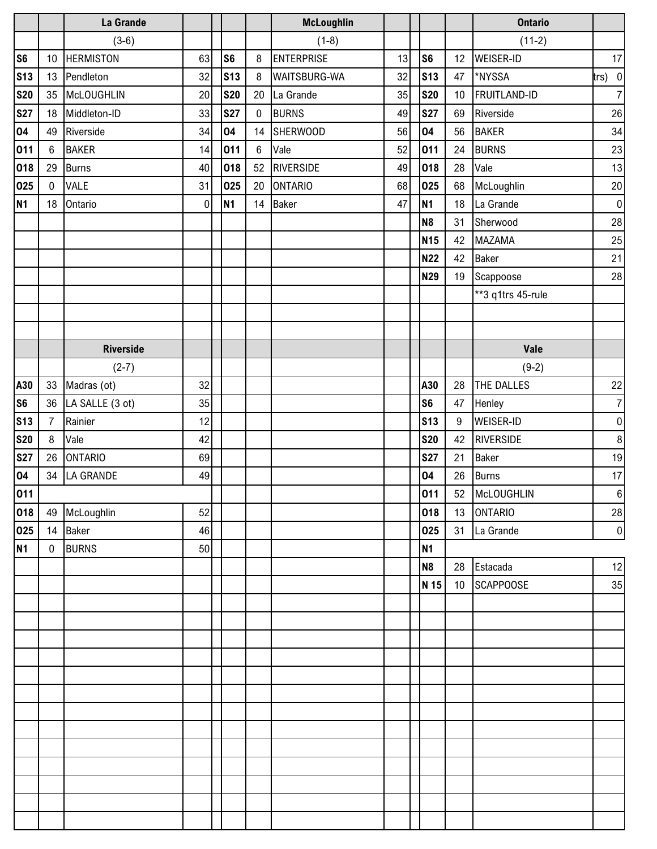|                   |                 | La Grande        |    |                |                  | <b>McLoughlin</b>   |    |                |                 | <b>Ontario</b>      |                  |
|-------------------|-----------------|------------------|----|----------------|------------------|---------------------|----|----------------|-----------------|---------------------|------------------|
|                   |                 | $(3-6)$          |    |                |                  | $(1-8)$             |    |                |                 | $(11-2)$            |                  |
| S <sub>6</sub>    | 10              | <b>HERMISTON</b> | 63 | S <sub>6</sub> | 8                | <b>ENTERPRISE</b>   | 13 | S <sub>6</sub> | 12              | <b>WEISER-ID</b>    | 17 <sub>l</sub>  |
| <b>S13</b>        | 13              | Pendleton        | 32 | <b>S13</b>     | 8                | <b>WAITSBURG-WA</b> | 32 | <b>S13</b>     | 47              | *NYSSA              | $trs)$ 0         |
| <b>S20</b>        | 35              | McLOUGHLIN       | 20 | <b>S20</b>     | 20               | La Grande           | 35 | <b>S20</b>     | 10              | <b>FRUITLAND-ID</b> | 7                |
| <b>S27</b>        |                 | 18 Middleton-ID  | 33 | <b>S27</b>     | $\mathbf 0$      | <b>BURNS</b>        | 49 | <b>S27</b>     | 69              | Riverside           | 26               |
| 04                | 49              | Riverside        | 34 | 04             | 14               | <b>SHERWOOD</b>     | 56 | 04             | 56              | <b>BAKER</b>        | 34               |
| 011               | $6\phantom{.}6$ | <b>BAKER</b>     | 14 | 011            | $\boldsymbol{6}$ | Vale                | 52 | 011            | 24              | <b>BURNS</b>        | 23               |
| 018               | 29              | <b>Burns</b>     | 40 | 018            | 52               | <b>RIVERSIDE</b>    | 49 | 018            | 28              | Vale                | 13               |
| 025               | $\mathbf 0$     | VALE             | 31 | 025            | 20               | <b>ONTARIO</b>      | 68 | 025            | 68              | McLoughlin          | $20\,$           |
| <b>N1</b>         | 18              | Ontario          | 0  | <b>N1</b>      | 14               | <b>Baker</b>        | 47 | <b>N1</b>      | 18              | La Grande           | $\overline{0}$   |
|                   |                 |                  |    |                |                  |                     |    | N <sub>8</sub> | 31              | Sherwood            | $28\,$           |
|                   |                 |                  |    |                |                  |                     |    | <b>N15</b>     | 42              | <b>MAZAMA</b>       | 25               |
|                   |                 |                  |    |                |                  |                     |    | <b>N22</b>     | 42              | Baker               | 21               |
|                   |                 |                  |    |                |                  |                     |    | <b>N29</b>     | 19              | Scappoose           | 28               |
|                   |                 |                  |    |                |                  |                     |    |                |                 | **3 q1trs 45-rule   |                  |
|                   |                 |                  |    |                |                  |                     |    |                |                 |                     |                  |
|                   |                 |                  |    |                |                  |                     |    |                |                 |                     |                  |
|                   |                 | <b>Riverside</b> |    |                |                  |                     |    |                |                 | Vale                |                  |
|                   |                 | $(2-7)$          |    |                |                  |                     |    |                |                 | $(9-2)$             |                  |
| A30               | 33              | Madras (ot)      | 32 |                |                  |                     |    | A30            | 28              | THE DALLES          | 22               |
| S <sub>6</sub>    | 36              | LA SALLE (3 ot)  | 35 |                |                  |                     |    | S <sub>6</sub> | 47              | Henley              | 7                |
| <b>S13</b>        | $\overline{7}$  | Rainier          | 12 |                |                  |                     |    | <b>S13</b>     | $9\,$           | <b>WEISER-ID</b>    | $\overline{0}$   |
| <b>S20</b>        | 8               | Vale             | 42 |                |                  |                     |    | <b>S20</b>     | 42              | RIVERSIDE           | $\boldsymbol{8}$ |
| <b>S27</b>        | 26              | <b>ONTARIO</b>   | 69 |                |                  |                     |    | <b>S27</b>     | 21              | <b>Baker</b>        | 19               |
| 04                | 34              | LA GRANDE        | 49 |                |                  |                     |    | 04             | 26              | <b>Burns</b>        | 17               |
|                   |                 |                  |    |                |                  |                     |    | 011            |                 | 52 McLOUGHLIN       | 6                |
| $\frac{011}{018}$ |                 | 49 McLoughlin    | 52 |                |                  |                     |    | 018            |                 | 13 ONTARIO          | 28               |
| 025               |                 | 14 Baker         | 46 |                |                  |                     |    | 025            |                 | 31 La Grande        | 0                |
| N <sub>1</sub>    | $\mathbf 0$     | <b>BURNS</b>     | 50 |                |                  |                     |    | <b>N1</b>      |                 |                     |                  |
|                   |                 |                  |    |                |                  |                     |    | N <sub>8</sub> | 28              | Estacada            | 12               |
|                   |                 |                  |    |                |                  |                     |    | N 15           | 10 <sup>°</sup> | <b>SCAPPOOSE</b>    | 35               |
|                   |                 |                  |    |                |                  |                     |    |                |                 |                     |                  |
|                   |                 |                  |    |                |                  |                     |    |                |                 |                     |                  |
|                   |                 |                  |    |                |                  |                     |    |                |                 |                     |                  |
|                   |                 |                  |    |                |                  |                     |    |                |                 |                     |                  |
|                   |                 |                  |    |                |                  |                     |    |                |                 |                     |                  |
|                   |                 |                  |    |                |                  |                     |    |                |                 |                     |                  |
|                   |                 |                  |    |                |                  |                     |    |                |                 |                     |                  |
|                   |                 |                  |    |                |                  |                     |    |                |                 |                     |                  |
|                   |                 |                  |    |                |                  |                     |    |                |                 |                     |                  |
|                   |                 |                  |    |                |                  |                     |    |                |                 |                     |                  |
|                   |                 |                  |    |                |                  |                     |    |                |                 |                     |                  |
|                   |                 |                  |    |                |                  |                     |    |                |                 |                     |                  |
|                   |                 |                  |    |                |                  |                     |    |                |                 |                     |                  |